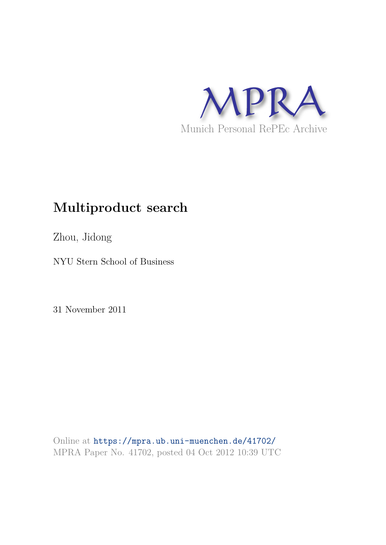

# **Multiproduct search**

Zhou, Jidong

NYU Stern School of Business

31 November 2011

Online at https://mpra.ub.uni-muenchen.de/41702/ MPRA Paper No. 41702, posted 04 Oct 2012 10:39 UTC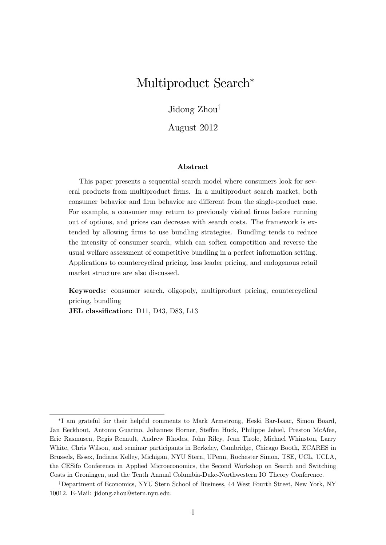## Multiproduct Search<sup>\*</sup>

Jidong  $Zhou^{\dagger}$ 

August 2012

#### Abstract

This paper presents a sequential search model where consumers look for several products from multiproduct Örms. In a multiproduct search market, both consumer behavior and firm behavior are different from the single-product case. For example, a consumer may return to previously visited firms before running out of options, and prices can decrease with search costs. The framework is extended by allowing firms to use bundling strategies. Bundling tends to reduce the intensity of consumer search, which can soften competition and reverse the usual welfare assessment of competitive bundling in a perfect information setting. Applications to countercyclical pricing, loss leader pricing, and endogenous retail market structure are also discussed.

Keywords: consumer search, oligopoly, multiproduct pricing, countercyclical pricing, bundling

JEL classification: D11, D43, D83, L13

I am grateful for their helpful comments to Mark Armstrong, Heski Bar-Isaac, Simon Board, Jan Eeckhout, Antonio Guarino, Johannes Horner, Steffen Huck, Philippe Jehiel, Preston McAfee, Eric Rasmusen, Regis Renault, Andrew Rhodes, John Riley, Jean Tirole, Michael Whinston, Larry White, Chris Wilson, and seminar participants in Berkeley, Cambridge, Chicago Booth, ECARES in Brussels, Essex, Indiana Kelley, Michigan, NYU Stern, UPenn, Rochester Simon, TSE, UCL, UCLA, the CESifo Conference in Applied Microeconomics, the Second Workshop on Search and Switching Costs in Groningen, and the Tenth Annual Columbia-Duke-Northwestern IO Theory Conference.

<sup>&</sup>lt;sup>†</sup>Department of Economics, NYU Stern School of Business, 44 West Fourth Street, New York, NY 10012. E-Mail: jidong.zhou@stern.nyu.edu.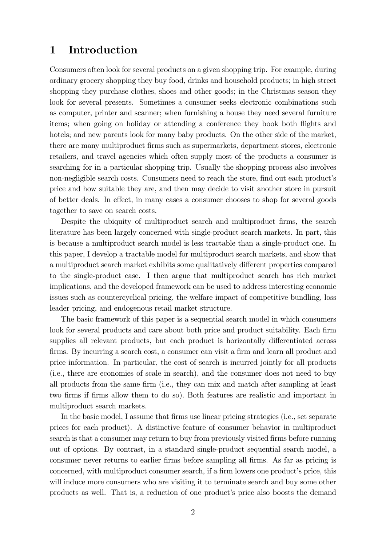### 1 Introduction

Consumers often look for several products on a given shopping trip. For example, during ordinary grocery shopping they buy food, drinks and household products; in high street shopping they purchase clothes, shoes and other goods; in the Christmas season they look for several presents. Sometimes a consumer seeks electronic combinations such as computer, printer and scanner; when furnishing a house they need several furniture items; when going on holiday or attending a conference they book both flights and hotels; and new parents look for many baby products. On the other side of the market, there are many multiproduct Örms such as supermarkets, department stores, electronic retailers, and travel agencies which often supply most of the products a consumer is searching for in a particular shopping trip. Usually the shopping process also involves non-negligible search costs. Consumers need to reach the store, find out each product's price and how suitable they are, and then may decide to visit another store in pursuit of better deals. In effect, in many cases a consumer chooses to shop for several goods together to save on search costs.

Despite the ubiquity of multiproduct search and multiproduct firms, the search literature has been largely concerned with single-product search markets. In part, this is because a multiproduct search model is less tractable than a single-product one. In this paper, I develop a tractable model for multiproduct search markets, and show that a multiproduct search market exhibits some qualitatively different properties compared to the single-product case. I then argue that multiproduct search has rich market implications, and the developed framework can be used to address interesting economic issues such as countercyclical pricing, the welfare impact of competitive bundling, loss leader pricing, and endogenous retail market structure.

The basic framework of this paper is a sequential search model in which consumers look for several products and care about both price and product suitability. Each firm supplies all relevant products, but each product is horizontally differentiated across firms. By incurring a search cost, a consumer can visit a firm and learn all product and price information. In particular, the cost of search is incurred jointly for all products (i.e., there are economies of scale in search), and the consumer does not need to buy all products from the same firm (i.e., they can mix and match after sampling at least two Örms if Örms allow them to do so). Both features are realistic and important in multiproduct search markets.

In the basic model, I assume that firms use linear pricing strategies (i.e., set separate prices for each product). A distinctive feature of consumer behavior in multiproduct search is that a consumer may return to buy from previously visited firms before running out of options. By contrast, in a standard single-product sequential search model, a consumer never returns to earlier Örms before sampling all Örms. As far as pricing is concerned, with multiproduct consumer search, if a firm lowers one product's price, this will induce more consumers who are visiting it to terminate search and buy some other products as well. That is, a reduction of one product's price also boosts the demand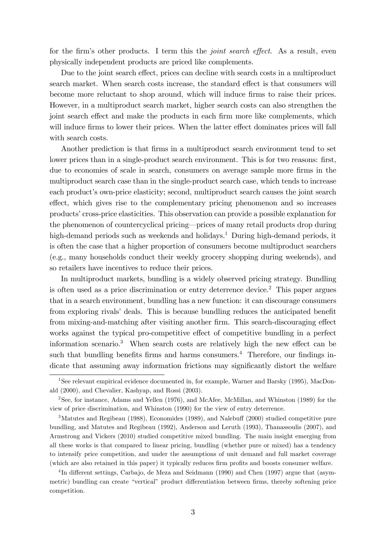for the firm's other products. I term this the *joint search effect*. As a result, even physically independent products are priced like complements.

Due to the joint search effect, prices can decline with search costs in a multiproduct search market. When search costs increase, the standard effect is that consumers will become more reluctant to shop around, which will induce firms to raise their prices. However, in a multiproduct search market, higher search costs can also strengthen the joint search effect and make the products in each firm more like complements, which will induce firms to lower their prices. When the latter effect dominates prices will fall with search costs.

Another prediction is that firms in a multiproduct search environment tend to set lower prices than in a single-product search environment. This is for two reasons: first, due to economies of scale in search, consumers on average sample more firms in the multiproduct search case than in the single-product search case, which tends to increase each product's own-price elasticity; second, multiproduct search causes the joint search effect, which gives rise to the complementary pricing phenomenon and so increases productsí cross-price elasticities. This observation can provide a possible explanation for the phenomenon of countercyclical pricing—prices of many retail products drop during high-demand periods such as weekends and holidays.<sup>1</sup> During high-demand periods, it is often the case that a higher proportion of consumers become multiproduct searchers (e.g., many households conduct their weekly grocery shopping during weekends), and so retailers have incentives to reduce their prices.

In multiproduct markets, bundling is a widely observed pricing strategy. Bundling is often used as a price discrimination or entry deterrence device.<sup>2</sup> This paper argues that in a search environment, bundling has a new function: it can discourage consumers from exploring rivals' deals. This is because bundling reduces the anticipated benefit from mixing-and-matching after visiting another firm. This search-discouraging effect works against the typical pro-competitive effect of competitive bundling in a perfect information scenario.<sup>3</sup> When search costs are relatively high the new effect can be such that bundling benefits firms and harms consumers.<sup>4</sup> Therefore, our findings indicate that assuming away information frictions may significantly distort the welfare

<sup>1</sup>See relevant empirical evidence documented in, for example, Warner and Barsky (1995), MacDonald (2000), and Chevalier, Kashyap, and Rossi (2003).

<sup>2</sup>See, for instance, Adams and Yellen (1976), and McAfee, McMillan, and Whinston (1989) for the view of price discrimination, and Whinston (1990) for the view of entry deterrence.

 $3$ Matutes and Regibeau (1988), Economides (1989), and Nalebuff (2000) studied competitive pure bundling, and Matutes and Regibeau (1992), Anderson and Leruth (1993), Thanassoulis (2007), and Armstrong and Vickers (2010) studied competitive mixed bundling. The main insight emerging from all these works is that compared to linear pricing, bundling (whether pure or mixed) has a tendency to intensify price competition, and under the assumptions of unit demand and full market coverage (which are also retained in this paper) it typically reduces firm profits and boosts consumer welfare.

<sup>&</sup>lt;sup>4</sup>In different settings, Carbajo, de Meza and Seidmann (1990) and Chen (1997) argue that (asymmetric) bundling can create "vertical" product differentiation between firms, thereby softening price competition.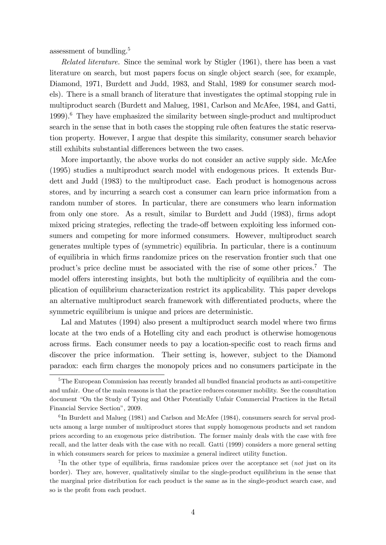assessment of bundling.<sup>5</sup>

Related literature. Since the seminal work by Stigler (1961), there has been a vast literature on search, but most papers focus on single object search (see, for example, Diamond, 1971, Burdett and Judd, 1983, and Stahl, 1989 for consumer search models). There is a small branch of literature that investigates the optimal stopping rule in multiproduct search (Burdett and Malueg, 1981, Carlson and McAfee, 1984, and Gatti, 1999).<sup>6</sup> They have emphasized the similarity between single-product and multiproduct search in the sense that in both cases the stopping rule often features the static reservation property. However, I argue that despite this similarity, consumer search behavior still exhibits substantial differences between the two cases.

More importantly, the above works do not consider an active supply side. McAfee (1995) studies a multiproduct search model with endogenous prices. It extends Burdett and Judd (1983) to the multiproduct case. Each product is homogenous across stores, and by incurring a search cost a consumer can learn price information from a random number of stores. In particular, there are consumers who learn information from only one store. As a result, similar to Burdett and Judd (1983), firms adopt mixed pricing strategies, reflecting the trade-off between exploiting less informed consumers and competing for more informed consumers. However, multiproduct search generates multiple types of (symmetric) equilibria. In particular, there is a continuum of equilibria in which Örms randomize prices on the reservation frontier such that one product's price decline must be associated with the rise of some other prices.<sup>7</sup> The model offers interesting insights, but both the multiplicity of equilibria and the complication of equilibrium characterization restrict its applicability. This paper develops an alternative multiproduct search framework with differentiated products, where the symmetric equilibrium is unique and prices are deterministic.

Lal and Matutes (1994) also present a multiproduct search model where two firms locate at the two ends of a Hotelling city and each product is otherwise homogenous across firms. Each consumer needs to pay a location-specific cost to reach firms and discover the price information. Their setting is, however, subject to the Diamond paradox: each Örm charges the monopoly prices and no consumers participate in the

 $5$ The European Commission has recently branded all bundled financial products as anti-competitive and unfair. One of the main reasons is that the practice reduces consumer mobility. See the consultation document "On the Study of Tying and Other Potentially Unfair Commercial Practices in the Retail Financial Service Section", 2009.

<sup>&</sup>lt;sup>6</sup>In Burdett and Malueg (1981) and Carlson and McAfee (1984), consumers search for serval products among a large number of multiproduct stores that supply homogenous products and set random prices according to an exogenous price distribution. The former mainly deals with the case with free recall, and the latter deals with the case with no recall. Gatti (1999) considers a more general setting in which consumers search for prices to maximize a general indirect utility function.

<sup>&</sup>lt;sup>7</sup>In the other type of equilibria, firms randomize prices over the acceptance set (not just on its border). They are, however, qualitatively similar to the single-product equilibrium in the sense that the marginal price distribution for each product is the same as in the single-product search case, and so is the profit from each product.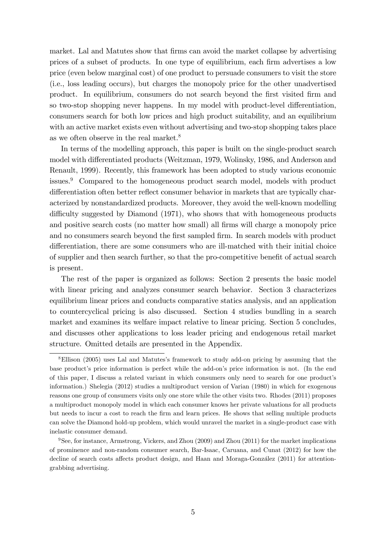market. Lal and Matutes show that firms can avoid the market collapse by advertising prices of a subset of products. In one type of equilibrium, each firm advertises a low price (even below marginal cost) of one product to persuade consumers to visit the store (i.e., loss leading occurs), but charges the monopoly price for the other unadvertised product. In equilibrium, consumers do not search beyond the first visited firm and so two-stop shopping never happens. In my model with product-level differentiation, consumers search for both low prices and high product suitability, and an equilibrium with an active market exists even without advertising and two-stop shopping takes place as we often observe in the real market.<sup>8</sup>

In terms of the modelling approach, this paper is built on the single-product search model with differentiated products (Weitzman, 1979, Wolinsky, 1986, and Anderson and Renault, 1999). Recently, this framework has been adopted to study various economic issues.<sup>9</sup> Compared to the homogeneous product search model, models with product differentiation often better reflect consumer behavior in markets that are typically characterized by nonstandardized products. Moreover, they avoid the well-known modelling difficulty suggested by Diamond (1971), who shows that with homogeneous products and positive search costs (no matter how small) all firms will charge a monopoly price and no consumers search beyond the first sampled firm. In search models with product differentiation, there are some consumers who are ill-matched with their initial choice of supplier and then search further, so that the pro-competitive benefit of actual search is present.

The rest of the paper is organized as follows: Section 2 presents the basic model with linear pricing and analyzes consumer search behavior. Section 3 characterizes equilibrium linear prices and conducts comparative statics analysis, and an application to countercyclical pricing is also discussed. Section 4 studies bundling in a search market and examines its welfare impact relative to linear pricing. Section 5 concludes, and discusses other applications to loss leader pricing and endogenous retail market structure. Omitted details are presented in the Appendix.

<sup>&</sup>lt;sup>8</sup>Ellison (2005) uses Lal and Matutes's framework to study add-on pricing by assuming that the base product's price information is perfect while the add-on's price information is not. (In the end of this paper, I discuss a related variant in which consumers only need to search for one product's information.) Shelegia (2012) studies a multiproduct version of Varian (1980) in which for exogenous reasons one group of consumers visits only one store while the other visits two. Rhodes (2011) proposes a multiproduct monopoly model in which each consumer knows her private valuations for all products but needs to incur a cost to reach the Örm and learn prices. He shows that selling multiple products can solve the Diamond hold-up problem, which would unravel the market in a single-product case with inelastic consumer demand.

<sup>9</sup>See, for instance, Armstrong, Vickers, and Zhou (2009) and Zhou (2011) for the market implications of prominence and non-random consumer search, Bar-Isaac, Caruana, and Cunat (2012) for how the decline of search costs affects product design, and Haan and Moraga-González (2011) for attentiongrabbing advertising.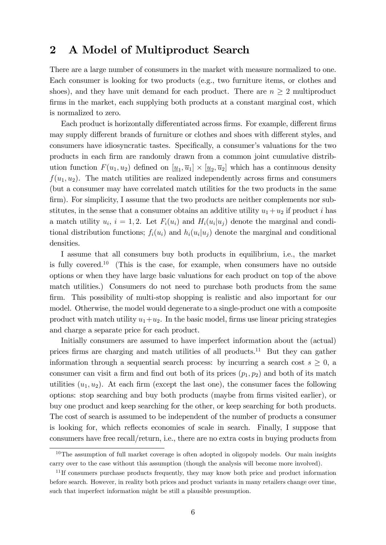### 2 A Model of Multiproduct Search

There are a large number of consumers in the market with measure normalized to one. Each consumer is looking for two products (e.g., two furniture items, or clothes and shoes), and they have unit demand for each product. There are  $n \geq 2$  multiproduct firms in the market, each supplying both products at a constant marginal cost, which is normalized to zero.

Each product is horizontally differentiated across firms. For example, different firms may supply different brands of furniture or clothes and shoes with different styles, and consumers have idiosyncratic tastes. Specifically, a consumer's valuations for the two products in each Örm are randomly drawn from a common joint cumulative distribution function  $F(u_1, u_2)$  defined on  $[\underline{u}_1, \overline{u}_1] \times [\underline{u}_2, \overline{u}_2]$  which has a continuous density  $f(u_1, u_2)$ . The match utilities are realized independently across firms and consumers (but a consumer may have correlated match utilities for the two products in the same firm). For simplicity, I assume that the two products are neither complements nor substitutes, in the sense that a consumer obtains an additive utility  $u_1 + u_2$  if product i has a match utility  $u_i$ ,  $i = 1, 2$ . Let  $F_i(u_i)$  and  $H_i(u_i|u_j)$  denote the marginal and conditional distribution functions;  $f_i(u_i)$  and  $h_i(u_i|u_j)$  denote the marginal and conditional densities.

I assume that all consumers buy both products in equilibrium, i.e., the market is fully covered.<sup>10</sup> (This is the case, for example, when consumers have no outside options or when they have large basic valuations for each product on top of the above match utilities.) Consumers do not need to purchase both products from the same firm. This possibility of multi-stop shopping is realistic and also important for our model. Otherwise, the model would degenerate to a single-product one with a composite product with match utility  $u_1+u_2$ . In the basic model, firms use linear pricing strategies and charge a separate price for each product.

Initially consumers are assumed to have imperfect information about the (actual) prices firms are charging and match utilities of all products.<sup>11</sup> But they can gather information through a sequential search process: by incurring a search cost  $s \geq 0$ , a consumer can visit a firm and find out both of its prices  $(p_1, p_2)$  and both of its match utilities  $(u_1, u_2)$ . At each firm (except the last one), the consumer faces the following options: stop searching and buy both products (maybe from Örms visited earlier), or buy one product and keep searching for the other, or keep searching for both products. The cost of search is assumed to be independent of the number of products a consumer is looking for, which reflects economies of scale in search. Finally, I suppose that consumers have free recall/return, i.e., there are no extra costs in buying products from

 $10$ The assumption of full market coverage is often adopted in oligopoly models. Our main insights carry over to the case without this assumption (though the analysis will become more involved).

<sup>&</sup>lt;sup>11</sup>If consumers purchase products frequently, they may know both price and product information before search. However, in reality both prices and product variants in many retailers change over time, such that imperfect information might be still a plausible presumption.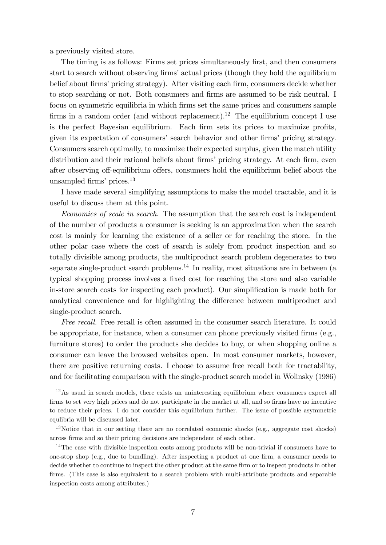a previously visited store.

The timing is as follows: Firms set prices simultaneously first, and then consumers start to search without observing firms' actual prices (though they hold the equilibrium belief about firms' pricing strategy). After visiting each firm, consumers decide whether to stop searching or not. Both consumers and firms are assumed to be risk neutral. I focus on symmetric equilibria in which firms set the same prices and consumers sample firms in a random order (and without replacement).<sup>12</sup> The equilibrium concept I use is the perfect Bayesian equilibrium. Each firm sets its prices to maximize profits, given its expectation of consumers' search behavior and other firms' pricing strategy. Consumers search optimally, to maximize their expected surplus, given the match utility distribution and their rational beliefs about firms' pricing strategy. At each firm, even after observing off-equilibrium offers, consumers hold the equilibrium belief about the unsampled firms' prices. $13$ 

I have made several simplifying assumptions to make the model tractable, and it is useful to discuss them at this point.

Economies of scale in search. The assumption that the search cost is independent of the number of products a consumer is seeking is an approximation when the search cost is mainly for learning the existence of a seller or for reaching the store. In the other polar case where the cost of search is solely from product inspection and so totally divisible among products, the multiproduct search problem degenerates to two separate single-product search problems.<sup>14</sup> In reality, most situations are in between (a typical shopping process involves a fixed cost for reaching the store and also variable in-store search costs for inspecting each product). Our simplification is made both for analytical convenience and for highlighting the difference between multiproduct and single-product search.

Free recall. Free recall is often assumed in the consumer search literature. It could be appropriate, for instance, when a consumer can phone previously visited firms  $(e.g.,)$ furniture stores) to order the products she decides to buy, or when shopping online a consumer can leave the browsed websites open. In most consumer markets, however, there are positive returning costs. I choose to assume free recall both for tractability, and for facilitating comparison with the single-product search model in Wolinsky (1986)

 $12\text{As}$  usual in search models, there exists an uninteresting equilibrium where consumers expect all firms to set very high prices and do not participate in the market at all, and so firms have no incentive to reduce their prices. I do not consider this equilibrium further. The issue of possible asymmetric equlibria will be discussed later.

<sup>&</sup>lt;sup>13</sup>Notice that in our setting there are no correlated economic shocks (e.g., aggregate cost shocks) across firms and so their pricing decisions are independent of each other.

<sup>&</sup>lt;sup>14</sup>The case with divisible inspection costs among products will be non-trivial if consumers have to one-stop shop (e.g., due to bundling). After inspecting a product at one firm, a consumer needs to decide whether to continue to inspect the other product at the same firm or to inspect products in other firms. (This case is also equivalent to a search problem with multi-attribute products and separable inspection costs among attributes.)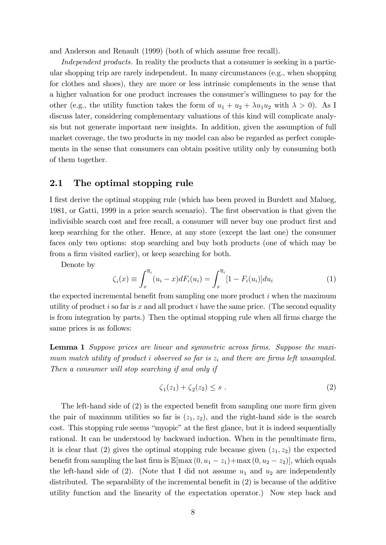and Anderson and Renault (1999) (both of which assume free recall).

Independent products. In reality the products that a consumer is seeking in a particular shopping trip are rarely independent. In many circumstances (e.g., when shopping for clothes and shoes), they are more or less intrinsic complements in the sense that a higher valuation for one product increases the consumer's willingness to pay for the other (e.g., the utility function takes the form of  $u_1 + u_2 + \lambda u_1 u_2$  with  $\lambda > 0$ ). As I discuss later, considering complementary valuations of this kind will complicate analysis but not generate important new insights. In addition, given the assumption of full market coverage, the two products in my model can also be regarded as perfect complements in the sense that consumers can obtain positive utility only by consuming both of them together.

#### 2.1 The optimal stopping rule

I first derive the optimal stopping rule (which has been proved in Burdett and Malueg, 1981, or Gatti, 1999 in a price search scenario). The Örst observation is that given the indivisible search cost and free recall, a consumer will never buy one product first and keep searching for the other. Hence, at any store (except the last one) the consumer faces only two options: stop searching and buy both products (one of which may be from a firm visited earlier), or keep searching for both.

Denote by

$$
\zeta_i(x) \equiv \int_x^{\overline{u}_i} (u_i - x) dF_i(u_i) = \int_x^{\overline{u}_i} [1 - F_i(u_i)] du_i \tag{1}
$$

the expected incremental benefit from sampling one more product  $i$  when the maximum utility of product i so far is x and all product i have the same price. (The second equality is from integration by parts.) Then the optimal stopping rule when all firms charge the same prices is as follows:

**Lemma 1** Suppose prices are linear and symmetric across firms. Suppose the maximum match utility of product i observed so far is  $z_i$  and there are firms left unsampled. Then a consumer will stop searching if and only if

$$
\zeta_1(z_1) + \zeta_2(z_2) \le s \ . \tag{2}
$$

The left-hand side of  $(2)$  is the expected benefit from sampling one more firm given the pair of maximum utilities so far is  $(z_1, z_2)$ , and the right-hand side is the search cost. This stopping rule seems "myopic" at the first glance, but it is indeed sequentially rational. It can be understood by backward induction. When in the penultimate firm, it is clear that (2) gives the optimal stopping rule because given  $(z_1, z_2)$  the expected benefit from sampling the last firm is  $\mathbb{E}[\max(0, u_1 - z_1) + \max(0, u_2 - z_2)]$ , which equals the left-hand side of (2). (Note that I did not assume  $u_1$  and  $u_2$  are independently distributed. The separability of the incremental benefit in  $(2)$  is because of the additive utility function and the linearity of the expectation operator.) Now step back and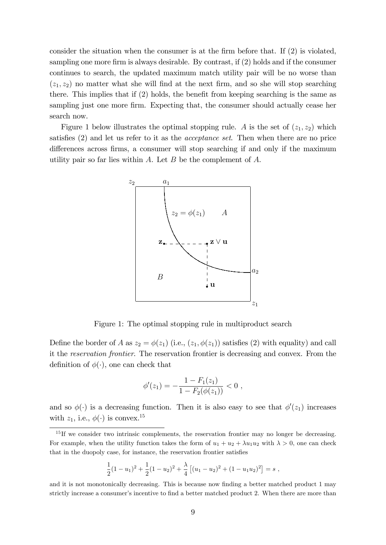consider the situation when the consumer is at the firm before that. If  $(2)$  is violated, sampling one more firm is always desirable. By contrast, if  $(2)$  holds and if the consumer continues to search, the updated maximum match utility pair will be no worse than  $(z_1, z_2)$  no matter what she will find at the next firm, and so she will stop searching there. This implies that if  $(2)$  holds, the benefit from keeping searching is the same as sampling just one more firm. Expecting that, the consumer should actually cease her search now.

Figure 1 below illustrates the optimal stopping rule. A is the set of  $(z_1, z_2)$  which satisfies  $(2)$  and let us refer to it as the *acceptance set*. Then when there are no price differences across firms, a consumer will stop searching if and only if the maximum utility pair so far lies within  $A$ . Let  $B$  be the complement of  $A$ .



Figure 1: The optimal stopping rule in multiproduct search

Define the border of A as  $z_2 = \phi(z_1)$  (i.e.,  $(z_1, \phi(z_1))$  satisfies (2) with equality) and call it the reservation frontier. The reservation frontier is decreasing and convex. From the definition of  $\phi(\cdot)$ , one can check that

$$
\phi'(z_1) = -\frac{1 - F_1(z_1)}{1 - F_2(\phi(z_1))} < 0 \; ,
$$

and so  $\phi(\cdot)$  is a decreasing function. Then it is also easy to see that  $\phi'(z_1)$  increases with  $z_1$ , i.e.,  $\phi(\cdot)$  is convex.<sup>15</sup>

$$
\frac{1}{2}(1-u_1)^2 + \frac{1}{2}(1-u_2)^2 + \frac{\lambda}{4}\left[ (u_1 - u_2)^2 + (1-u_1u_2)^2 \right] = s,
$$

and it is not monotonically decreasing. This is because now finding a better matched product 1 may strictly increase a consumer's incentive to find a better matched product 2. When there are more than

<sup>&</sup>lt;sup>15</sup>If we consider two intrinsic complements, the reservation frontier may no longer be decreasing. For example, when the utility function takes the form of  $u_1 + u_2 + \lambda u_1 u_2$  with  $\lambda > 0$ , one can check that in the duopoly case, for instance, the reservation frontier satisfies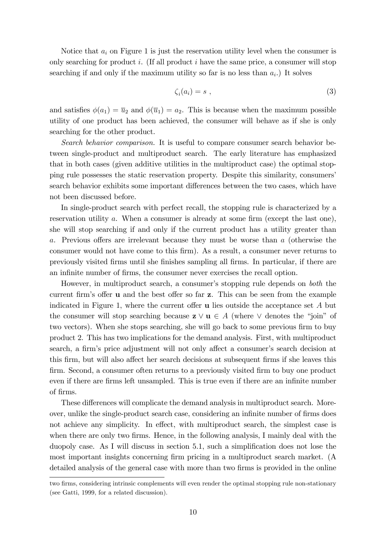Notice that  $a_i$  on Figure 1 is just the reservation utility level when the consumer is only searching for product i. (If all product i have the same price, a consumer will stop searching if and only if the maximum utility so far is no less than  $a_i$ .) It solves

$$
\zeta_i(a_i) = s \tag{3}
$$

and satisfies  $\phi(a_1) = \overline{u}_2$  and  $\phi(\overline{u}_1) = a_2$ . This is because when the maximum possible utility of one product has been achieved, the consumer will behave as if she is only searching for the other product.

Search behavior comparison. It is useful to compare consumer search behavior between single-product and multiproduct search. The early literature has emphasized that in both cases (given additive utilities in the multiproduct case) the optimal stopping rule possesses the static reservation property. Despite this similarity, consumersí search behavior exhibits some important differences between the two cases, which have not been discussed before.

In single-product search with perfect recall, the stopping rule is characterized by a reservation utility  $a$ . When a consumer is already at some firm (except the last one), she will stop searching if and only if the current product has a utility greater than a. Previous offers are irrelevant because they must be worse than  $a$  (otherwise the consumer would not have come to this firm). As a result, a consumer never returns to previously visited Örms until she Önishes sampling all Örms. In particular, if there are an infinite number of firms, the consumer never exercises the recall option.

However, in multiproduct search, a consumer's stopping rule depends on both the current firm's offer **u** and the best offer so far **z**. This can be seen from the example indicated in Figure 1, where the current offer  $\bf{u}$  lies outside the acceptance set A but the consumer will stop searching because  $z \vee u \in A$  (where  $\vee$  denotes the "join" of two vectors). When she stops searching, she will go back to some previous firm to buy product 2. This has two implications for the demand analysis. First, with multiproduct search, a firm's price adjustment will not only affect a consumer's search decision at this firm, but will also affect her search decisions at subsequent firms if she leaves this firm. Second, a consumer often returns to a previously visited firm to buy one product even if there are firms left unsampled. This is true even if there are an infinite number of Örms.

These differences will complicate the demand analysis in multiproduct search. Moreover, unlike the single-product search case, considering an infinite number of firms does not achieve any simplicity. In effect, with multiproduct search, the simplest case is when there are only two firms. Hence, in the following analysis, I mainly deal with the duopoly case. As I will discuss in section 5.1, such a simplification does not lose the most important insights concerning firm pricing in a multiproduct search market. (A detailed analysis of the general case with more than two firms is provided in the online

two firms, considering intrinsic complements will even render the optimal stopping rule non-stationary (see Gatti, 1999, for a related discussion).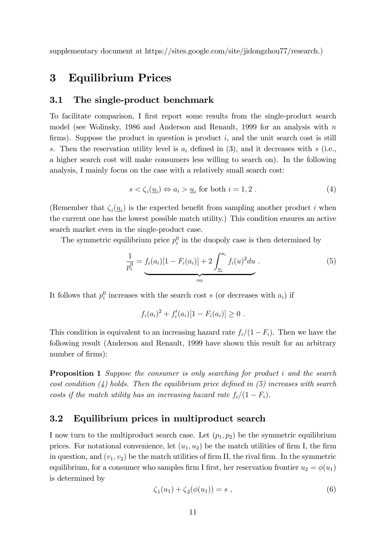supplementary document at https://sites.google.com/site/jidongzhou77/research.)

### 3 Equilibrium Prices

#### 3.1 The single-product benchmark

To facilitate comparison, I first report some results from the single-product search model (see Wolinsky, 1986 and Anderson and Renault, 1999 for an analysis with  $n$ firms). Suppose the product in question is product  $i$ , and the unit search cost is still s. Then the reservation utility level is  $a_i$  defined in (3), and it decreases with s (i.e., a higher search cost will make consumers less willing to search on). In the following analysis, I mainly focus on the case with a relatively small search cost:

$$
s < \zeta_i(\underline{u}_i) \Leftrightarrow a_i > \underline{u}_i \text{ for both } i = 1, 2. \tag{4}
$$

(Remember that  $\zeta_i(\underline{u}_i)$  is the expected benefit from sampling another product i when the current one has the lowest possible match utility.) This condition ensures an active search market even in the single-product case.

The symmetric equilibrium price  $p_i^0$  in the duopoly case is then determined by

$$
\frac{1}{p_i^0} = f_i(a_i)[1 - F_i(a_i)] + 2 \int_{\frac{u_i}{a_0}}^{a_i} f_i(u)^2 du
$$
 (5)

It follows that  $p_i^0$  increases with the search cost s (or decreases with  $a_i$ ) if

$$
f_i(a_i)^2 + f'_i(a_i)[1 - F_i(a_i)] \geq 0.
$$

This condition is equivalent to an increasing hazard rate  $f_i/(1 - F_i)$ . Then we have the following result (Anderson and Renault, 1999 have shown this result for an arbitrary number of firms):

**Proposition 1** Suppose the consumer is only searching for product i and the search cost condition  $(4)$  holds. Then the equilibrium price defined in  $(5)$  increases with search costs if the match utility has an increasing hazard rate  $f_i/(1 - F_i)$ .

#### 3.2 Equilibrium prices in multiproduct search

I now turn to the multiproduct search case. Let  $(p_1, p_2)$  be the symmetric equilibrium prices. For notational convenience, let  $(u_1, u_2)$  be the match utilities of firm I, the firm in question, and  $(v_1, v_2)$  be the match utilities of firm II, the rival firm. In the symmetric equilibrium, for a consumer who samples firm I first, her reservation frontier  $u_2 = \phi(u_1)$ is determined by

$$
\zeta_1(u_1) + \zeta_2(\phi(u_1)) = s \tag{6}
$$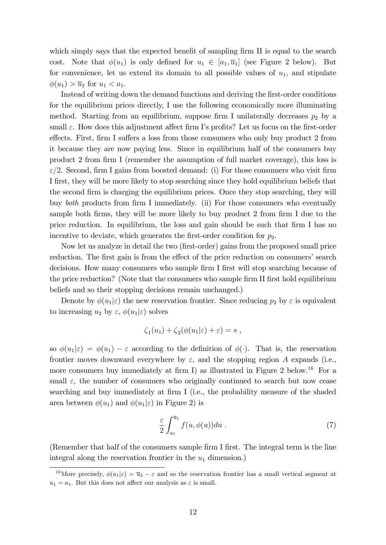which simply says that the expected benefit of sampling firm II is equal to the search cost. Note that  $\phi(u_1)$  is only defined for  $u_1 \in [a_1, \overline{u}_1]$  (see Figure 2 below). But for convenience, let us extend its domain to all possible values of  $u_1$ , and stipulate  $\phi(u_1) > \overline{u}_2$  for  $u_1 < a_1$ .

Instead of writing down the demand functions and deriving the first-order conditions for the equilibrium prices directly, I use the following economically more illuminating method. Starting from an equilibrium, suppose firm I unilaterally decreases  $p_2$  by a small  $\varepsilon$ . How does this adjustment affect firm I's profits? Let us focus on the first-order effects. First, firm I suffers a loss from those consumers who only buy product 2 from it because they are now paying less. Since in equilibrium half of the consumers buy product 2 from firm I (remember the assumption of full market coverage), this loss is  $\varepsilon/2$ . Second, firm I gains from boosted demand: (i) For those consumers who visit firm I first, they will be more likely to stop searching since they hold equilibrium beliefs that the second firm is charging the equilibrium prices. Once they stop searching, they will buy *both* products from firm I immediately. (ii) For those consumers who eventually sample both firms, they will be more likely to buy product  $2$  from firm I due to the price reduction. In equilibrium, the loss and gain should be such that firm I has no incentive to deviate, which generates the first-order condition for  $p_2$ .

Now let us analyze in detail the two (Örst-order) gains from the proposed small price reduction. The first gain is from the effect of the price reduction on consumers' search decisions. How many consumers who sample firm I first will stop searching because of the price reduction? (Note that the consumers who sample firm II first hold equilibrium beliefs and so their stopping decisions remain unchanged.)

Denote by  $\phi(u_1|\varepsilon)$  the new reservation frontier. Since reducing  $p_2$  by  $\varepsilon$  is equivalent to increasing  $u_2$  by  $\varepsilon$ ,  $\phi(u_1|\varepsilon)$  solves

$$
\zeta_1(u_1) + \zeta_2(\phi(u_1|\varepsilon) + \varepsilon) = s ,
$$

so  $\phi(u_1|\varepsilon) = \phi(u_1) - \varepsilon$  according to the definition of  $\phi(\cdot)$ . That is, the reservation frontier moves downward everywhere by  $\varepsilon$ , and the stopping region A expands (i.e., more consumers buy immediately at firm I) as illustrated in Figure 2 below.<sup>16</sup> For a small  $\varepsilon$ , the number of consumers who originally continued to search but now cease searching and buy immediately at firm I (i.e., the probability measure of the shaded area between  $\phi(u_1)$  and  $\phi(u_1|\varepsilon)$  in Figure 2) is

$$
\frac{\varepsilon}{2} \int_{a_1}^{\overline{u}_1} f(u, \phi(u)) du . \tag{7}
$$

(Remember that half of the consumers sample firm I first. The integral term is the line integral along the reservation frontier in the  $u_1$  dimension.)

<sup>&</sup>lt;sup>16</sup>More precisely,  $\phi(a_1|\varepsilon) = \overline{u}_2 - \varepsilon$  and so the reservation frontier has a small vertical segment at  $u_1 = a_1$ . But this does not affect our analysis as  $\varepsilon$  is small.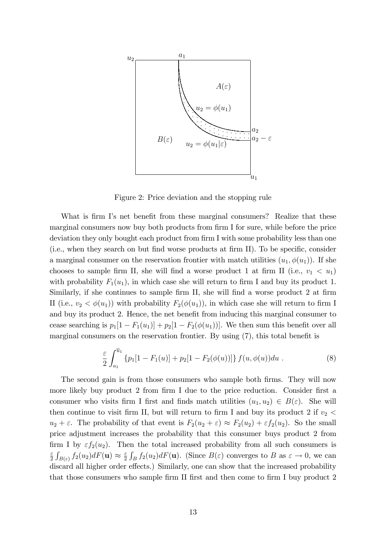

Figure 2: Price deviation and the stopping rule

What is firm I's net benefit from these marginal consumers? Realize that these marginal consumers now buy both products from firm I for sure, while before the price deviation they only bought each product from firm I with some probability less than one  $(i.e., when they search on but find worse products at firm II). To be specific, consider$ a marginal consumer on the reservation frontier with match utilities  $(u_1, \phi(u_1))$ . If she chooses to sample firm II, she will find a worse product 1 at firm II (i.e.,  $v_1 < u_1$ ) with probability  $F_1(u_1)$ , in which case she will return to firm I and buy its product 1. Similarly, if she continues to sample firm II, she will find a worse product 2 at firm II (i.e.,  $v_2 < \phi(u_1)$ ) with probability  $F_2(\phi(u_1))$ , in which case she will return to firm I and buy its product 2. Hence, the net benefit from inducing this marginal consumer to cease searching is  $p_1[1 - F_1(u_1)] + p_2[1 - F_2(\phi(u_1))]$ . We then sum this benefit over all marginal consumers on the reservation frontier. By using  $(7)$ , this total benefit is

$$
\frac{\varepsilon}{2} \int_{a_1}^{\overline{u}_1} \left\{ p_1[1 - F_1(u)] + p_2[1 - F_2(\phi(u))] \right\} f(u, \phi(u)) du . \tag{8}
$$

The second gain is from those consumers who sample both firms. They will now more likely buy product 2 from firm I due to the price reduction. Consider first a consumer who visits firm I first and finds match utilities  $(u_1, u_2) \in B(\varepsilon)$ . She will then continue to visit firm II, but will return to firm I and buy its product 2 if  $v_2$  <  $u_2 + \varepsilon$ . The probability of that event is  $F_2(u_2 + \varepsilon) \approx F_2(u_2) + \varepsilon f_2(u_2)$ . So the small price adjustment increases the probability that this consumer buys product 2 from firm I by  $\varepsilon f_2(u_2)$ . Then the total increased probability from all such consumers is  $\epsilon$  $\frac{\varepsilon}{2} \int_{B(\varepsilon)} f_2(u_2) dF(\mathbf{u}) \approx \frac{\varepsilon}{2}$  $\frac{\varepsilon}{2} \int_B f_2(u_2) dF(\mathbf{u})$ . (Since  $B(\varepsilon)$  converges to B as  $\varepsilon \to 0$ , we can discard all higher order effects.) Similarly, one can show that the increased probability that those consumers who sample firm II first and then come to firm I buy product 2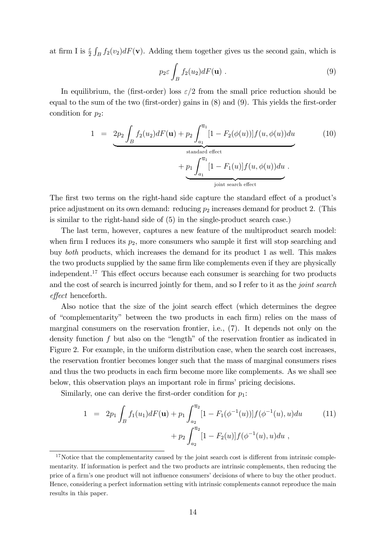at firm I is  $\frac{\varepsilon}{2} \int_B f_2(v_2) dF(\mathbf{v})$ . Adding them together gives us the second gain, which is

$$
p_2 \varepsilon \int_B f_2(u_2) dF(\mathbf{u}) \ . \tag{9}
$$

In equilibrium, the (first-order) loss  $\varepsilon/2$  from the small price reduction should be equal to the sum of the two (first-order) gains in  $(8)$  and  $(9)$ . This yields the first-order condition for  $p_2$ :

$$
1 = 2p_2 \int_B f_2(u_2) dF(\mathbf{u}) + p_2 \int_{a_1}^{\overline{u}_1} [1 - F_2(\phi(u))] f(u, \phi(u)) du
$$
  
standard effect  
+  $p_1 \int_{a_1}^{\overline{u}_1} [1 - F_1(u)] f(u, \phi(u)) du$ .  
joint search effect

The first two terms on the right-hand side capture the standard effect of a product's price adjustment on its own demand: reducing  $p_2$  increases demand for product 2. (This is similar to the right-hand side of (5) in the single-product search case.)

The last term, however, captures a new feature of the multiproduct search model: when firm I reduces its  $p_2$ , more consumers who sample it first will stop searching and buy both products, which increases the demand for its product 1 as well. This makes the two products supplied by the same firm like complements even if they are physically independent.<sup>17</sup> This effect occurs because each consumer is searching for two products and the cost of search is incurred jointly for them, and so I refer to it as the *joint search* effect henceforth.

Also notice that the size of the joint search effect (which determines the degree of "complementarity" between the two products in each firm) relies on the mass of marginal consumers on the reservation frontier, i.e., (7). It depends not only on the density function  $f$  but also on the "length" of the reservation frontier as indicated in Figure 2. For example, in the uniform distribution case, when the search cost increases, the reservation frontier becomes longer such that the mass of marginal consumers rises and thus the two products in each firm become more like complements. As we shall see below, this observation plays an important role in firms' pricing decisions.

Similarly, one can derive the first-order condition for  $p_1$ :

$$
1 = 2p_1 \int_B f_1(u_1) dF(\mathbf{u}) + p_1 \int_{a_2}^{\overline{u}_2} [1 - F_1(\phi^{-1}(u))] f(\phi^{-1}(u), u) du \qquad (11)
$$

$$
+ p_2 \int_{a_2}^{\overline{u}_2} [1 - F_2(u)] f(\phi^{-1}(u), u) du ,
$$

 $17$ Notice that the complementarity caused by the joint search cost is different from intrinsic complementarity. If information is perfect and the two products are intrinsic complements, then reducing the price of a firm's one product will not influence consumers' decisions of where to buy the other product. Hence, considering a perfect information setting with intrinsic complements cannot reproduce the main results in this paper.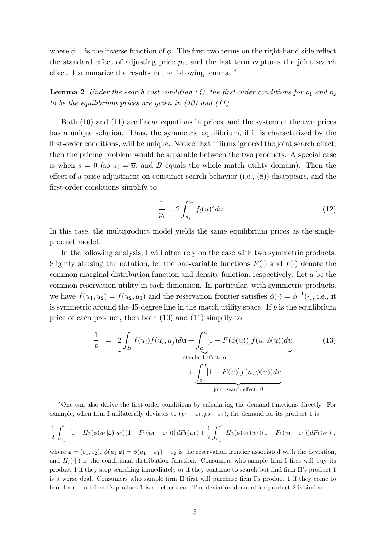where  $\phi^{-1}$  is the inverse function of  $\phi$ . The first two terms on the right-hand side reflect the standard effect of adjusting price  $p_1$ , and the last term captures the joint search effect. I summarize the results in the following lemma:<sup>18</sup>

**Lemma 2** Under the search cost condition  $(4)$ , the first-order conditions for  $p_1$  and  $p_2$ to be the equilibrium prices are given in  $(10)$  and  $(11)$ .

Both (10) and (11) are linear equations in prices, and the system of the two prices has a unique solution. Thus, the symmetric equilibrium, if it is characterized by the first-order conditions, will be unique. Notice that if firms ignored the joint search effect, then the pricing problem would be separable between the two products. A special case is when  $s = 0$  (so  $a_i = \overline{u}_i$  and B equals the whole match utility domain). Then the effect of a price adjustment on consumer search behavior (i.e.,  $(8)$ ) disappears, and the first-order conditions simplify to

$$
\frac{1}{p_i} = 2 \int_{\underline{u}_i}^{\overline{u}_i} f_i(u)^2 du . \tag{12}
$$

In this case, the multiproduct model yields the same equilibrium prices as the singleproduct model.

In the following analysis, I will often rely on the case with two symmetric products. Slightly abusing the notation, let the one-variable functions  $F(\cdot)$  and  $f(\cdot)$  denote the common marginal distribution function and density function, respectively. Let a be the common reservation utility in each dimension. In particular, with symmetric products, we have  $f(u_1, u_2) = f(u_2, u_1)$  and the reservation frontier satisfies  $\phi(\cdot) = \phi^{-1}(\cdot)$ , i.e., it is symmetric around the 45-degree line in the match utility space. If  $p$  is the equilibrium price of each product, then both (10) and (11) simplify to

$$
\frac{1}{p} = 2 \int_B f(u_i) f(u_i, u_j) d\mathbf{u} + \int_a^{\overline{u}} [1 - F(\phi(u))] f(u, \phi(u)) du
$$
\n
$$
+ \underbrace{\int_a^{\overline{u}} [1 - F(u)] f(u, \phi(u)) du}_{joint search effect: \beta}.
$$
\n(13)

<sup>18</sup>One can also derive the first-order conditions by calculating the demand functions directly. For example, when firm I unilaterally deviates to  $(p_1 - \varepsilon_1, p_2 - \varepsilon_2)$ , the demand for its product 1 is

$$
\frac{1}{2} \int_{\underline{u}_1}^{\overline{u}_1} \left[1 - H_2(\phi(u_1|\varepsilon)|u_1)(1 - F_1(u_1 + \varepsilon_1))\right] dF_1(u_1) + \frac{1}{2} \int_{\underline{u}_1}^{\overline{u}_1} H_2(\phi(v_1)|v_1)(1 - F_1(v_1 - \varepsilon_1)) dF_1(v_1) ,
$$

where  $\boldsymbol{\varepsilon} = (\varepsilon_1, \varepsilon_2), \phi(u_1|\boldsymbol{\varepsilon}) = \phi(u_1 + \varepsilon_1) - \varepsilon_2$  is the reservation frontier associated with the deviation, and  $H_i(\cdot|\cdot)$  is the conditional distribution function. Consumers who sample firm I first will buy its product 1 if they stop searching immediately or if they continue to search but find firm II's product 1 is a worse deal. Consumers who sample firm II first will purchase firm I's product 1 if they come to firm I and find firm I's product 1 is a better deal. The deviation demand for product 2 is similar.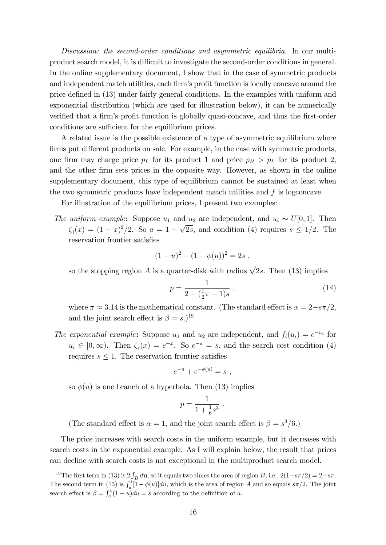Discussion: the second-order conditions and asymmetric equilibria. In our multiproduct search model, it is difficult to investigate the second-order conditions in general. In the online supplementary document, I show that in the case of symmetric products and independent match utilities, each firm's profit function is locally concave around the price defined in (13) under fairly general conditions. In the examples with uniform and exponential distribution (which are used for illustration below), it can be numerically verified that a firm's profit function is globally quasi-concave, and thus the first-order conditions are sufficient for the equilibrium prices.

A related issue is the possible existence of a type of asymmetric equilibrium where firms put different products on sale. For example, in the case with symmetric products, one firm may charge price  $p<sub>L</sub>$  for its product 1 and price  $p<sub>H</sub> > p<sub>L</sub>$  for its product 2, and the other firm sets prices in the opposite way. However, as shown in the online supplementary document, this type of equilibrium cannot be sustained at least when the two symmetric products have independent match utilities and  $f$  is logconcave.

For illustration of the equilibrium prices, I present two examples:

The uniform example: Suppose  $u_1$  and  $u_2$  are independent, and  $u_i \sim U[0, 1]$ . Then  $\zeta_i(x) = (1-x)^2/2$ . So  $a = 1 - \sqrt{2s}$ , and condition (4) requires  $s \leq 1/2$ . The reservation frontier satisfies

$$
(1-u)^2 + (1-\phi(u))^2 = 2s ,
$$

so the stopping region A is a quarter-disk with radius  $\sqrt{2s}$ . Then (13) implies

$$
p = \frac{1}{2 - (\frac{1}{2}\pi - 1)s} \,,\tag{14}
$$

where  $\pi \approx 3.14$  is the mathematical constant. (The standard effect is  $\alpha = 2 - s\pi/2$ , and the joint search effect is  $\beta = s$ .)<sup>19</sup>

The exponential example: Suppose  $u_1$  and  $u_2$  are independent, and  $f_i(u_i) = e^{-u_i}$  for  $u_i \in [0,\infty)$ . Then  $\zeta_i(x) = e^{-x}$ . So  $e^{-a} = s$ , and the search cost condition (4) requires  $s \leq 1$ . The reservation frontier satisfies

$$
e^{-u} + e^{-\phi(u)} = s ,
$$

so  $\phi(u)$  is one branch of a hyperbola. Then (13) implies

$$
p=\frac{1}{1+\frac{1}{6}s^3}
$$

:

(The standard effect is  $\alpha = 1$ , and the joint search effect is  $\beta = s^3/6$ .)

The price increases with search costs in the uniform example, but it decreases with search costs in the exponential example. As I will explain below, the result that prices can decline with search costs is not exceptional in the multiproduct search model.

<sup>&</sup>lt;sup>19</sup>The first term in (13) is  $2\int_B d\mathbf{u}$ , so it equals two times the area of region B, i.e.,  $2(1-s\pi/2) = 2-s\pi$ . The second term in (13) is  $\int_a^1 [1-\phi(u)]du$ , which is the area of region A and so equals  $s\pi/2$ . The joint search effect is  $\beta = \int_a^1 (1 - u) du = s$  according to the definition of a.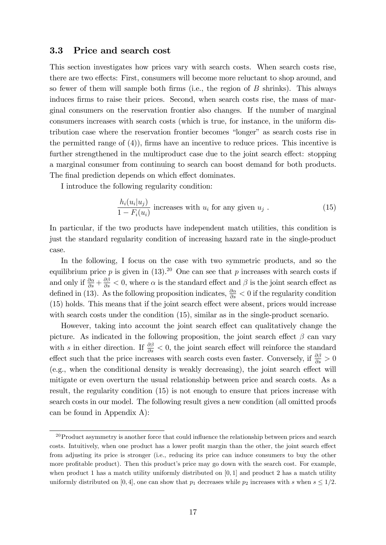#### 3.3 Price and search cost

This section investigates how prices vary with search costs. When search costs rise, there are two effects: First, consumers will become more reluctant to shop around, and so fewer of them will sample both firms (i.e., the region of  $B$  shrinks). This always induces firms to raise their prices. Second, when search costs rise, the mass of marginal consumers on the reservation frontier also changes. If the number of marginal consumers increases with search costs (which is true, for instance, in the uniform distribution case where the reservation frontier becomes "longer" as search costs rise in the permitted range of  $(4)$ , firms have an incentive to reduce prices. This incentive is further strengthened in the multiproduct case due to the joint search effect: stopping a marginal consumer from continuing to search can boost demand for both products. The final prediction depends on which effect dominates.

I introduce the following regularity condition:

$$
\frac{h_i(u_i|u_j)}{1 - F_i(u_i)}
$$
 increases with  $u_i$  for any given  $u_j$ . (15)

In particular, if the two products have independent match utilities, this condition is just the standard regularity condition of increasing hazard rate in the single-product case.

In the following, I focus on the case with two symmetric products, and so the equilibrium price p is given in  $(13).^{20}$  One can see that p increases with search costs if and only if  $\frac{\partial \alpha}{\partial s} + \frac{\partial \beta}{\partial s} < 0$ , where  $\alpha$  is the standard effect and  $\beta$  is the joint search effect as defined in (13). As the following proposition indicates,  $\frac{\partial \alpha}{\partial s} < 0$  if the regularity condition  $(15)$  holds. This means that if the joint search effect were absent, prices would increase with search costs under the condition  $(15)$ , similar as in the single-product scenario.

However, taking into account the joint search effect can qualitatively change the picture. As indicated in the following proposition, the joint search effect  $\beta$  can vary with s in either direction. If  $\frac{\partial \beta}{\partial s} < 0$ , the joint search effect will reinforce the standard effect such that the price increases with search costs even faster. Conversely, if  $\frac{\partial \beta}{\partial s} > 0$  $(e.g., when the conditional density is weakly decreasing), the joint search effect will$ mitigate or even overturn the usual relationship between price and search costs. As a result, the regularity condition (15) is not enough to ensure that prices increase with search costs in our model. The following result gives a new condition (all omitted proofs can be found in Appendix A):

 $^{20}$ Product asymmetry is another force that could influence the relationship between prices and search costs. Intuitively, when one product has a lower profit margin than the other, the joint search effect from adjusting its price is stronger (i.e., reducing its price can induce consumers to buy the other more profitable product). Then this product's price may go down with the search cost. For example, when product 1 has a match utility uniformly distributed on  $[0, 1]$  and product 2 has a match utility uniformly distributed on [0, 4], one can show that  $p_1$  decreases while  $p_2$  increases with s when  $s \leq 1/2$ .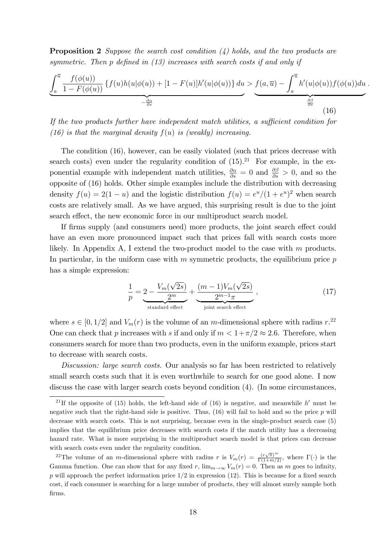**Proposition 2** Suppose the search cost condition  $\lambda$ ) holds, and the two products are symmetric. Then p defined in  $(13)$  increases with search costs if and only if

$$
\underbrace{\int_a^{\overline{u}} \frac{f(\phi(u))}{1 - F(\phi(u))} \left\{ f(u)h(u|\phi(u)) + [1 - F(u)]h'(u|\phi(u)) \right\} du}_{-\frac{\partial \alpha}{\partial s}} \underbrace{\cdot f(a, \overline{u}) - \int_a^{\overline{u}} h'(u|\phi(u))f(\phi(u)) du}_{\frac{\partial \beta}{\partial s}}
$$
\n(16)

:

If the two products further have independent match utilities, a sufficient condition for (16) is that the marginal density  $f(u)$  is (weakly) increasing.

The condition (16), however, can be easily violated (such that prices decrease with search costs) even under the regularity condition of  $(15).^{21}$  For example, in the exponential example with independent match utilities,  $\frac{\partial \alpha}{\partial s} = 0$  and  $\frac{\partial \beta}{\partial s} > 0$ , and so the opposite of (16) holds. Other simple examples include the distribution with decreasing density  $f(u) = 2(1 - u)$  and the logistic distribution  $f(u) = e^u/(1 + e^u)^2$  when search costs are relatively small. As we have argued, this surprising result is due to the joint search effect, the new economic force in our multiproduct search model.

If firms supply (and consumers need) more products, the joint search effect could have an even more pronounced impact such that prices fall with search costs more likely. In Appendix A, I extend the two-product model to the case with m products. In particular, in the uniform case with  $m$  symmetric products, the equilibrium price  $p$ has a simple expression:

$$
\frac{1}{p} = \underbrace{2 - \frac{V_m(\sqrt{2s})}{2^m}}_{\text{standard effect}} + \underbrace{\frac{(m-1)V_m(\sqrt{2s})}{2^{m-1}\pi}}_{\text{joint search effect}},
$$
\n(17)

where  $s \in [0, 1/2]$  and  $V_m(r)$  is the volume of an m-dimensional sphere with radius  $r^{22}$ . One can check that p increases with s if and only if  $m < 1 + \pi/2 \approx 2.6$ . Therefore, when consumers search for more than two products, even in the uniform example, prices start to decrease with search costs.

Discussion: large search costs. Our analysis so far has been restricted to relatively small search costs such that it is even worthwhile to search for one good alone. I now discuss the case with larger search costs beyond condition  $(4)$ . (In some circumstances,

<sup>&</sup>lt;sup>21</sup>If the opposite of (15) holds, the left-hand side of (16) is negative, and meanwhile h' must be negative such that the right-hand side is positive. Thus, (16) will fail to hold and so the price p will decrease with search costs. This is not surprising, because even in the single-product search case (5) implies that the equilibrium price decreases with search costs if the match utility has a decreasing hazard rate. What is more surprising in the multiproduct search model is that prices can decrease with search costs even under the regularity condition.

<sup>&</sup>lt;sup>22</sup>The volume of an *m*-dimensional sphere with radius r is  $V_m(r) = \frac{(r\sqrt{\pi})^m}{\Gamma(1+m/2)}$ , where  $\Gamma(\cdot)$  is the Gamma function. One can show that for any fixed r,  $\lim_{m\to\infty} V_m(r) = 0$ . Then as m goes to infinity, p will approach the perfect information price  $1/2$  in expression (12). This is because for a fixed search cost, if each consumer is searching for a large number of products, they will almost surely sample both firms.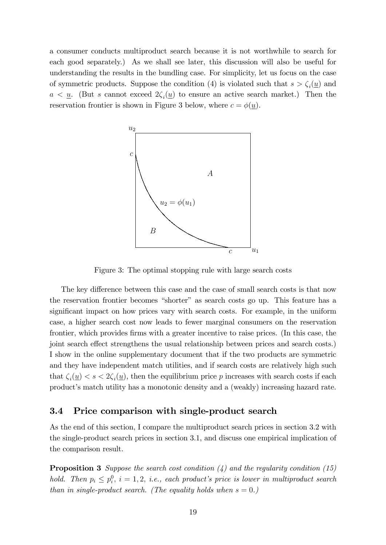a consumer conducts multiproduct search because it is not worthwhile to search for each good separately.) As we shall see later, this discussion will also be useful for understanding the results in the bundling case. For simplicity, let us focus on the case of symmetric products. Suppose the condition (4) is violated such that  $s > \zeta_i(\underline{u})$  and  $a < \underline{u}$ . (But s cannot exceed  $2\zeta_i(\underline{u})$  to ensure an active search market.) Then the reservation frontier is shown in Figure 3 below, where  $c = \phi(u)$ .



Figure 3: The optimal stopping rule with large search costs

The key difference between this case and the case of small search costs is that now the reservation frontier becomes "shorter" as search costs go up. This feature has a significant impact on how prices vary with search costs. For example, in the uniform case, a higher search cost now leads to fewer marginal consumers on the reservation frontier, which provides firms with a greater incentive to raise prices. (In this case, the joint search effect strengthens the usual relationship between prices and search costs.) I show in the online supplementary document that if the two products are symmetric and they have independent match utilities, and if search costs are relatively high such that  $\zeta_i(\underline{u}) < s < 2\zeta_i(\underline{u})$ , then the equilibrium price p increases with search costs if each product's match utility has a monotonic density and a (weakly) increasing hazard rate.

#### 3.4 Price comparison with single-product search

As the end of this section, I compare the multiproduct search prices in section 3.2 with the single-product search prices in section 3.1, and discuss one empirical implication of the comparison result.

**Proposition 3** Suppose the search cost condition  $(4)$  and the regularity condition  $(15)$ hold. Then  $p_i \leq p_i^0$ ,  $i = 1, 2, i.e., each product's price is lower in multiproduct search$ than in single-product search. (The equality holds when  $s = 0$ .)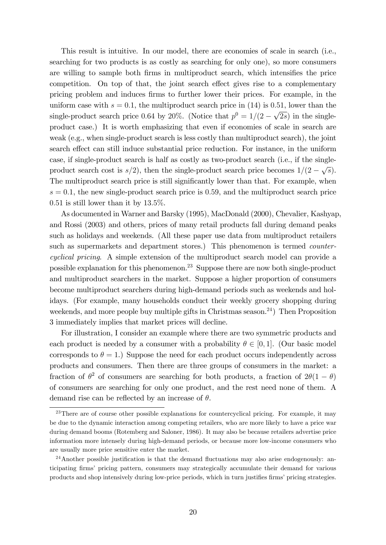This result is intuitive. In our model, there are economies of scale in search (i.e., searching for two products is as costly as searching for only one), so more consumers are willing to sample both firms in multiproduct search, which intensifies the price competition. On top of that, the joint search effect gives rise to a complementary pricing problem and induces firms to further lower their prices. For example, in the uniform case with  $s = 0.1$ , the multiproduct search price in (14) is 0.51, lower than the single-product search price 0.64 by 20%. (Notice that  $p^0 = 1/(2 - \sqrt{2s})$  in the singleproduct case.) It is worth emphasizing that even if economies of scale in search are weak (e.g., when single-product search is less costly than multiproduct search), the joint search effect can still induce substantial price reduction. For instance, in the uniform case, if single-product search is half as costly as two-product search (i.e., if the singleproduct search cost is  $s/2$ , then the single-product search price becomes  $1/(2 - \sqrt{s})$ . The multiproduct search price is still significantly lower than that. For example, when  $s = 0.1$ , the new single-product search price is 0.59, and the multiproduct search price  $0.51$  is still lower than it by  $13.5\%$ .

As documented in Warner and Barsky (1995), MacDonald (2000), Chevalier, Kashyap, and Rossi (2003) and others, prices of many retail products fall during demand peaks such as holidays and weekends. (All these paper use data from multiproduct retailers such as supermarkets and department stores.) This phenomenon is termed *counter*cyclical pricing. A simple extension of the multiproduct search model can provide a possible explanation for this phenomenon.<sup>23</sup> Suppose there are now both single-product and multiproduct searchers in the market. Suppose a higher proportion of consumers become multiproduct searchers during high-demand periods such as weekends and holidays. (For example, many households conduct their weekly grocery shopping during weekends, and more people buy multiple gifts in Christmas season.<sup>24</sup>) Then Proposition 3 immediately implies that market prices will decline.

For illustration, I consider an example where there are two symmetric products and each product is needed by a consumer with a probability  $\theta \in [0, 1]$ . (Our basic model corresponds to  $\theta = 1$ .) Suppose the need for each product occurs independently across products and consumers. Then there are three groups of consumers in the market: a fraction of  $\theta^2$  of consumers are searching for both products, a fraction of  $2\theta(1-\theta)$ of consumers are searching for only one product, and the rest need none of them. A demand rise can be reflected by an increase of  $\theta$ .

<sup>&</sup>lt;sup>23</sup>There are of course other possible explanations for countercyclical pricing. For example, it may be due to the dynamic interaction among competing retailers, who are more likely to have a price war during demand booms (Rotemberg and Saloner, 1986). It may also be because retailers advertise price information more intensely during high-demand periods, or because more low-income consumers who are usually more price sensitive enter the market.

<sup>&</sup>lt;sup>24</sup>Another possible justification is that the demand fluctuations may also arise endogenously: anticipating Örmsí pricing pattern, consumers may strategically accumulate their demand for various products and shop intensively during low-price periods, which in turn justifies firms' pricing strategies.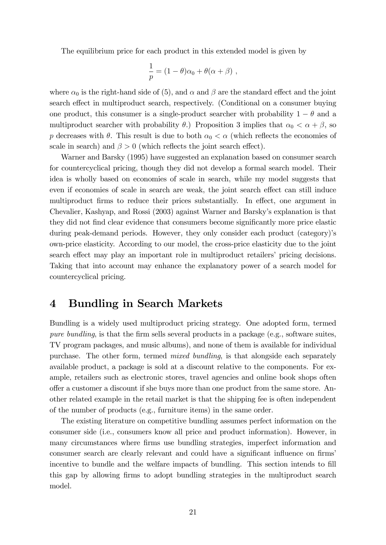The equilibrium price for each product in this extended model is given by

$$
\frac{1}{p} = (1 - \theta)\alpha_0 + \theta(\alpha + \beta) ,
$$

where  $\alpha_0$  is the right-hand side of (5), and  $\alpha$  and  $\beta$  are the standard effect and the joint search effect in multiproduct search, respectively. (Conditional on a consumer buying one product, this consumer is a single-product searcher with probability  $1 - \theta$  and a multiproduct searcher with probability  $\theta$ .) Proposition 3 implies that  $\alpha_0 < \alpha + \beta$ , so p decreases with  $\theta$ . This result is due to both  $\alpha_0 < \alpha$  (which reflects the economies of scale in search) and  $\beta > 0$  (which reflects the joint search effect).

Warner and Barsky (1995) have suggested an explanation based on consumer search for countercyclical pricing, though they did not develop a formal search model. Their idea is wholly based on economies of scale in search, while my model suggests that even if economies of scale in search are weak, the joint search effect can still induce multiproduct firms to reduce their prices substantially. In effect, one argument in Chevalier, Kashyap, and Rossi (2003) against Warner and Barsky's explanation is that they did not find clear evidence that consumers become significantly more price elastic during peak-demand periods. However, they only consider each product (category)'s own-price elasticity. According to our model, the cross-price elasticity due to the joint search effect may play an important role in multiproduct retailers' pricing decisions. Taking that into account may enhance the explanatory power of a search model for countercyclical pricing.

### 4 Bundling in Search Markets

Bundling is a widely used multiproduct pricing strategy. One adopted form, termed pure bundling, is that the firm sells several products in a package (e.g., software suites, TV program packages, and music albums), and none of them is available for individual purchase. The other form, termed mixed bundling, is that alongside each separately available product, a package is sold at a discount relative to the components. For example, retailers such as electronic stores, travel agencies and online book shops often offer a customer a discount if she buys more than one product from the same store. Another related example in the retail market is that the shipping fee is often independent of the number of products (e.g., furniture items) in the same order.

The existing literature on competitive bundling assumes perfect information on the consumer side (i.e., consumers know all price and product information). However, in many circumstances where firms use bundling strategies, imperfect information and consumer search are clearly relevant and could have a significant influence on firms incentive to bundle and the welfare impacts of bundling. This section intends to fill this gap by allowing Örms to adopt bundling strategies in the multiproduct search model.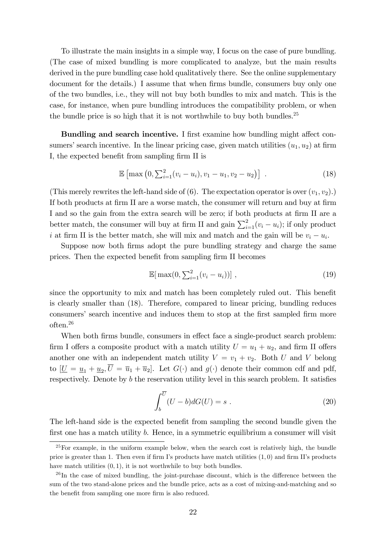To illustrate the main insights in a simple way, I focus on the case of pure bundling. (The case of mixed bundling is more complicated to analyze, but the main results derived in the pure bundling case hold qualitatively there. See the online supplementary document for the details.) I assume that when firms bundle, consumers buy only one of the two bundles, i.e., they will not buy both bundles to mix and match. This is the case, for instance, when pure bundling introduces the compatibility problem, or when the bundle price is so high that it is not worthwhile to buy both bundles.<sup>25</sup>

Bundling and search incentive. I first examine how bundling might affect consumers' search incentive. In the linear pricing case, given match utilities  $(u_1, u_2)$  at firm I, the expected benefit from sampling firm II is

$$
\mathbb{E}\left[\max\left(0, \sum_{i=1}^{2} (v_i - u_i), v_1 - u_1, v_2 - u_2\right)\right] \tag{18}
$$

(This merely rewrites the left-hand side of (6). The expectation operator is over  $(v_1, v_2)$ .) If both products at firm II are a worse match, the consumer will return and buy at firm I and so the gain from the extra search will be zero; if both products at firm II are a better match, the consumer will buy at firm II and gain  $\sum_{i=1}^{2} (v_i - u_i)$ ; if only product i at firm II is the better match, she will mix and match and the gain will be  $v_i - u_i$ .

Suppose now both firms adopt the pure bundling strategy and charge the same prices. Then the expected benefit from sampling firm II becomes

$$
\mathbb{E}[\max(0, \sum_{i=1}^{2} (v_i - u_i))], \qquad (19)
$$

since the opportunity to mix and match has been completely ruled out. This benefit is clearly smaller than (18). Therefore, compared to linear pricing, bundling reduces consumers' search incentive and induces them to stop at the first sampled firm more often.<sup>26</sup>

When both firms bundle, consumers in effect face a single-product search problem: firm I offers a composite product with a match utility  $U = u_1 + u_2$ , and firm II offers another one with an independent match utility  $V = v_1 + v_2$ . Both U and V belong to  $[\underline{U} = \underline{u}_1 + \underline{u}_2, U = \overline{u}_1 + \overline{u}_2]$ . Let  $G(\cdot)$  and  $g(\cdot)$  denote their common cdf and pdf, respectively. Denote by  $b$  the reservation utility level in this search problem. It satisfies

$$
\int_{b}^{\overline{U}} (U - b)dG(U) = s . \tag{20}
$$

The left-hand side is the expected benefit from sampling the second bundle given the first one has a match utility b. Hence, in a symmetric equilibrium a consumer will visit

 $^{25}$  For example, in the uniform example below, when the search cost is relatively high, the bundle price is greater than 1. Then even if firm I's products have match utilities  $(1,0)$  and firm II's products have match utilities  $(0, 1)$ , it is not worthwhile to buy both bundles.

 $^{26}$ In the case of mixed bundling, the joint-purchase discount, which is the difference between the sum of the two stand-alone prices and the bundle price, acts as a cost of mixing-and-matching and so the benefit from sampling one more firm is also reduced.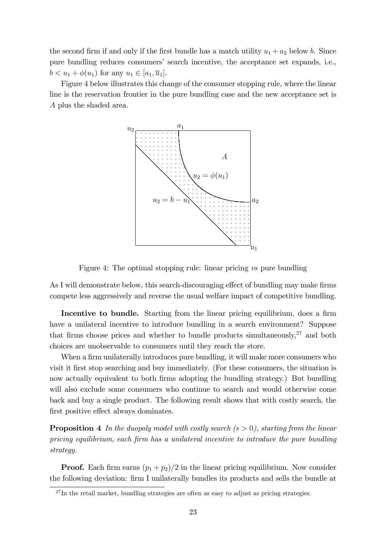the second firm if and only if the first bundle has a match utility  $u_1 + u_2$  below b. Since pure bundling reduces consumers' search incentive, the acceptance set expands, i.e.,  $b < u_1 + \phi(u_1)$  for any  $u_1 \in [a_1, \overline{u}_1]$ .

Figure 4 below illustrates this change of the consumer stopping rule, where the linear line is the reservation frontier in the pure bundling case and the new acceptance set is A plus the shaded area.



Figure 4: The optimal stopping rule: linear pricing vs pure bundling

As I will demonstrate below, this search-discouraging effect of bundling may make firms compete less aggressively and reverse the usual welfare impact of competitive bundling.

Incentive to bundle. Starting from the linear pricing equilibrium, does a firm have a unilateral incentive to introduce bundling in a search environment? Suppose that firms choose prices and whether to bundle products simultaneously, $27$  and both choices are unobservable to consumers until they reach the store.

When a firm unilaterally introduces pure bundling, it will make more consumers who visit it first stop searching and buy immediately. (For these consumers, the situation is now actually equivalent to both firms adopting the bundling strategy.) But bundling will also exclude some consumers who continue to search and would otherwise come back and buy a single product. The following result shows that with costly search, the first positive effect always dominates.

**Proposition 4** In the duopoly model with costly search  $(s > 0)$ , starting from the linear pricing equilibrium, each Örm has a unilateral incentive to introduce the pure bundling strategy.

**Proof.** Each firm earns  $(p_1 + p_2)/2$  in the linear pricing equilibrium. Now consider the following deviation: firm I unilaterally bundles its products and sells the bundle at

 $27$ In the retail market, bundling strategies are often as easy to adjust as pricing strategies.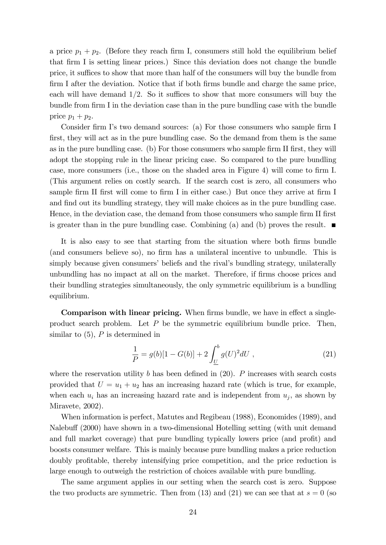a price  $p_1 + p_2$ . (Before they reach firm I, consumers still hold the equilibrium belief that Örm I is setting linear prices.) Since this deviation does not change the bundle price, it suffices to show that more than half of the consumers will buy the bundle from firm I after the deviation. Notice that if both firms bundle and charge the same price, each will have demand  $1/2$ . So it suffices to show that more consumers will buy the bundle from firm I in the deviation case than in the pure bundling case with the bundle price  $p_1 + p_2$ .

Consider firm I's two demand sources: (a) For those consumers who sample firm I first, they will act as in the pure bundling case. So the demand from them is the same as in the pure bundling case. (b) For those consumers who sample firm II first, they will adopt the stopping rule in the linear pricing case. So compared to the pure bundling case, more consumers (i.e., those on the shaded area in Figure 4) will come to firm I. (This argument relies on costly search. If the search cost is zero, all consumers who sample firm II first will come to firm I in either case.) But once they arrive at firm I and find out its bundling strategy, they will make choices as in the pure bundling case. Hence, in the deviation case, the demand from those consumers who sample firm II first is greater than in the pure bundling case. Combining (a) and (b) proves the result.  $\blacksquare$ 

It is also easy to see that starting from the situation where both firms bundle (and consumers believe so), no firm has a unilateral incentive to unbundle. This is simply because given consumers' beliefs and the rival's bundling strategy, unilaterally unbundling has no impact at all on the market. Therefore, if firms choose prices and their bundling strategies simultaneously, the only symmetric equilibrium is a bundling equilibrium.

Comparison with linear pricing. When firms bundle, we have in effect a singleproduct search problem. Let  $P$  be the symmetric equilibrium bundle price. Then, similar to  $(5)$ , P is determined in

$$
\frac{1}{P} = g(b)[1 - G(b)] + 2\int_{\underline{U}}^{b} g(U)^{2}dU , \qquad (21)
$$

where the reservation utility b has been defined in  $(20)$ . P increases with search costs provided that  $U = u_1 + u_2$  has an increasing hazard rate (which is true, for example, when each  $u_i$  has an increasing hazard rate and is independent from  $u_j$ , as shown by Miravete, 2002).

When information is perfect, Matutes and Regibeau (1988), Economides (1989), and Nalebuff (2000) have shown in a two-dimensional Hotelling setting (with unit demand and full market coverage) that pure bundling typically lowers price (and profit) and boosts consumer welfare. This is mainly because pure bundling makes a price reduction doubly profitable, thereby intensifying price competition, and the price reduction is large enough to outweigh the restriction of choices available with pure bundling.

The same argument applies in our setting when the search cost is zero. Suppose the two products are symmetric. Then from (13) and (21) we can see that at  $s = 0$  (so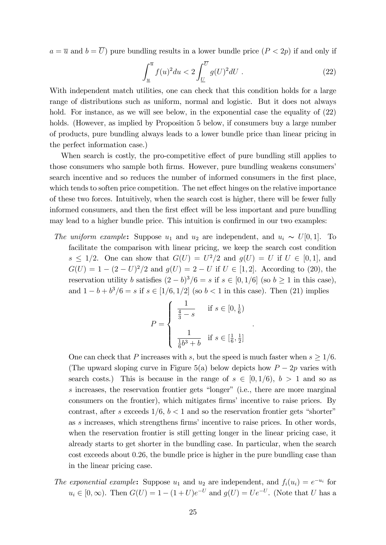$a = \overline{u}$  and  $b = \overline{U}$ ) pure bundling results in a lower bundle price  $(P < 2p)$  if and only if

$$
\int_{\underline{u}}^{\overline{u}} f(u)^2 du < 2 \int_{\underline{U}}^{\overline{U}} g(U)^2 dU \tag{22}
$$

With independent match utilities, one can check that this condition holds for a large range of distributions such as uniform, normal and logistic. But it does not always hold. For instance, as we will see below, in the exponential case the equality of  $(22)$ holds. (However, as implied by Proposition 5 below, if consumers buy a large number of products, pure bundling always leads to a lower bundle price than linear pricing in the perfect information case.)

When search is costly, the pro-competitive effect of pure bundling still applies to those consumers who sample both firms. However, pure bundling weakens consumers search incentive and so reduces the number of informed consumers in the first place, which tends to soften price competition. The net effect hinges on the relative importance of these two forces. Intuitively, when the search cost is higher, there will be fewer fully informed consumers, and then the first effect will be less important and pure bundling may lead to a higher bundle price. This intuition is confirmed in our two examples:

The uniform example: Suppose  $u_1$  and  $u_2$  are independent, and  $u_i \sim U[0, 1]$ . To facilitate the comparison with linear pricing, we keep the search cost condition  $s \leq 1/2$ . One can show that  $G(U) = U^2/2$  and  $g(U) = U$  if  $U \in [0, 1]$ , and  $G(U) = 1 - (2 - U)^2/2$  and  $g(U) = 2 - U$  if  $U \in [1, 2]$ . According to (20), the reservation utility b satisfies  $(2 - b)^3/6 = s$  if  $s \in [0, 1/6]$  (so  $b \ge 1$  in this case), and  $1 - b + b^3/6 = s$  if  $s \in [1/6, 1/2]$  (so  $b < 1$  in this case). Then (21) implies

$$
P = \begin{cases} \frac{1}{\frac{4}{3} - s} & \text{if } s \in [0, \frac{1}{6}) \\ \frac{1}{\frac{1}{6}b^3 + b} & \text{if } s \in [\frac{1}{6}, \frac{1}{2}] \end{cases}
$$

:

One can check that P increases with s, but the speed is much faster when  $s \geq 1/6$ . (The upward sloping curve in Figure 5(a) below depicts how  $P-2p$  varies with search costs.) This is because in the range of  $s \in [0, 1/6), b > 1$  and so as  $s$  increases, the reservation frontier gets "longer" (i.e., there are more marginal consumers on the frontier), which mitigates firms' incentive to raise prices. By contrast, after s exceeds  $1/6$ ,  $b < 1$  and so the reservation frontier gets "shorter" as  $s$  increases, which strengthens firms' incentive to raise prices. In other words, when the reservation frontier is still getting longer in the linear pricing case, it already starts to get shorter in the bundling case. In particular, when the search cost exceeds about 0:26, the bundle price is higher in the pure bundling case than in the linear pricing case.

The exponential example: Suppose  $u_1$  and  $u_2$  are independent, and  $f_i(u_i) = e^{-u_i}$  for  $u_i \in [0, \infty)$ . Then  $G(U) = 1 - (1 + U)e^{-U}$  and  $g(U) = Ue^{-U}$ . (Note that U has a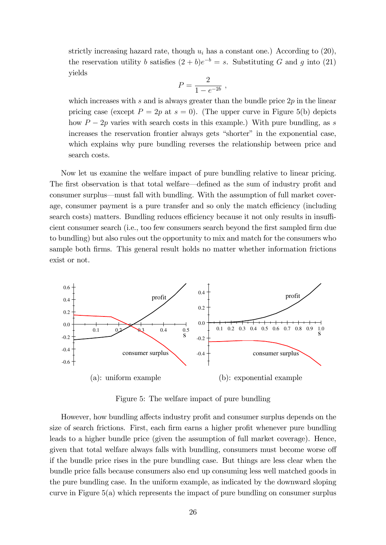strictly increasing hazard rate, though  $u_i$  has a constant one.) According to (20), the reservation utility b satisfies  $(2 + b)e^{-b} = s$ . Substituting G and g into (21) yields

$$
P = \frac{2}{1 - e^{-2b}} \; ,
$$

which increases with s and is always greater than the bundle price  $2p$  in the linear pricing case (except  $P = 2p$  at  $s = 0$ ). (The upper curve in Figure 5(b) depicts how  $P - 2p$  varies with search costs in this example.) With pure bundling, as s increases the reservation frontier always gets "shorter" in the exponential case, which explains why pure bundling reverses the relationship between price and search costs.

Now let us examine the welfare impact of pure bundling relative to linear pricing. The first observation is that total welfare—defined as the sum of industry profit and consumer surplus—must fall with bundling. With the assumption of full market coverage, consumer payment is a pure transfer and so only the match efficiency (including search costs) matters. Bundling reduces efficiency because it not only results in insufficient consumer search (i.e., too few consumers search beyond the first sampled firm due to bundling) but also rules out the opportunity to mix and match for the consumers who sample both firms. This general result holds no matter whether information frictions exist or not.



Figure 5: The welfare impact of pure bundling

However, how bundling affects industry profit and consumer surplus depends on the size of search frictions. First, each firm earns a higher profit whenever pure bundling leads to a higher bundle price (given the assumption of full market coverage). Hence, given that total welfare always falls with bundling, consumers must become worse off if the bundle price rises in the pure bundling case. But things are less clear when the bundle price falls because consumers also end up consuming less well matched goods in the pure bundling case. In the uniform example, as indicated by the downward sloping curve in Figure 5(a) which represents the impact of pure bundling on consumer surplus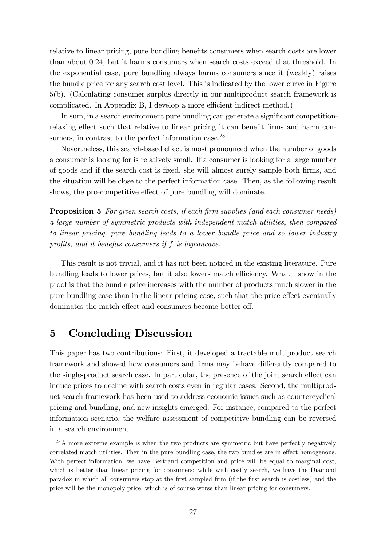relative to linear pricing, pure bundling benefits consumers when search costs are lower than about 0:24, but it harms consumers when search costs exceed that threshold. In the exponential case, pure bundling always harms consumers since it (weakly) raises the bundle price for any search cost level. This is indicated by the lower curve in Figure 5(b). (Calculating consumer surplus directly in our multiproduct search framework is complicated. In Appendix B, I develop a more efficient indirect method.)

In sum, in a search environment pure bundling can generate a significant competitionrelaxing effect such that relative to linear pricing it can benefit firms and harm consumers, in contrast to the perfect information case.<sup>28</sup>

Nevertheless, this search-based effect is most pronounced when the number of goods a consumer is looking for is relatively small. If a consumer is looking for a large number of goods and if the search cost is Öxed, she will almost surely sample both Örms, and the situation will be close to the perfect information case. Then, as the following result shows, the pro-competitive effect of pure bundling will dominate.

**Proposition 5** For given search costs, if each firm supplies (and each consumer needs) a large number of symmetric products with independent match utilities, then compared to linear pricing, pure bundling leads to a lower bundle price and so lower industry profits, and it benefits consumers if  $f$  is logconcave.

This result is not trivial, and it has not been noticed in the existing literature. Pure bundling leads to lower prices, but it also lowers match efficiency. What I show in the proof is that the bundle price increases with the number of products much slower in the pure bundling case than in the linear pricing case, such that the price effect eventually dominates the match effect and consumers become better off.

### 5 Concluding Discussion

This paper has two contributions: First, it developed a tractable multiproduct search framework and showed how consumers and firms may behave differently compared to the single-product search case. In particular, the presence of the joint search effect can induce prices to decline with search costs even in regular cases. Second, the multiproduct search framework has been used to address economic issues such as countercyclical pricing and bundling, and new insights emerged. For instance, compared to the perfect information scenario, the welfare assessment of competitive bundling can be reversed in a search environment.

<sup>&</sup>lt;sup>28</sup>A more extreme example is when the two products are symmetric but have perfectly negatively correlated match utilities. Then in the pure bundling case, the two bundles are in effect homogenous. With perfect information, we have Bertrand competition and price will be equal to marginal cost, which is better than linear pricing for consumers; while with costly search, we have the Diamond paradox in which all consumers stop at the Örst sampled Örm (if the Örst search is costless) and the price will be the monopoly price, which is of course worse than linear pricing for consumers.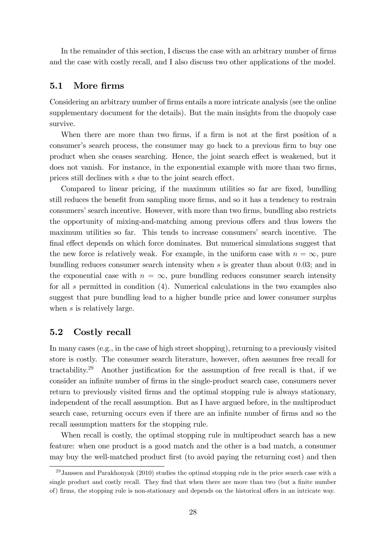In the remainder of this section, I discuss the case with an arbitrary number of firms and the case with costly recall, and I also discuss two other applications of the model.

#### 5.1 More firms

Considering an arbitrary number of firms entails a more intricate analysis (see the online supplementary document for the details). But the main insights from the duopoly case survive.

When there are more than two firms, if a firm is not at the first position of a consumer's search process, the consumer may go back to a previous firm to buy one product when she ceases searching. Hence, the joint search effect is weakened, but it does not vanish. For instance, in the exponential example with more than two firms, prices still declines with  $s$  due to the joint search effect.

Compared to linear pricing, if the maximum utilities so far are fixed, bundling still reduces the benefit from sampling more firms, and so it has a tendency to restrain consumers' search incentive. However, with more than two firms, bundling also restricts the opportunity of mixing-and-matching among previous offers and thus lowers the maximum utilities so far. This tends to increase consumers' search incentive. The final effect depends on which force dominates. But numerical simulations suggest that the new force is relatively weak. For example, in the uniform case with  $n = \infty$ , pure bundling reduces consumer search intensity when  $s$  is greater than about 0.03; and in the exponential case with  $n = \infty$ , pure bundling reduces consumer search intensity for all s permitted in condition (4). Numerical calculations in the two examples also suggest that pure bundling lead to a higher bundle price and lower consumer surplus when s is relatively large.

#### 5.2 Costly recall

In many cases (e.g., in the case of high street shopping), returning to a previously visited store is costly. The consumer search literature, however, often assumes free recall for tractability.<sup>29</sup> Another justification for the assumption of free recall is that, if we consider an infinite number of firms in the single-product search case, consumers never return to previously visited firms and the optimal stopping rule is always stationary, independent of the recall assumption. But as I have argued before, in the multiproduct search case, returning occurs even if there are an infinite number of firms and so the recall assumption matters for the stopping rule.

When recall is costly, the optimal stopping rule in multiproduct search has a new feature: when one product is a good match and the other is a bad match, a consumer may buy the well-matched product first (to avoid paying the returning cost) and then

 $^{29}$ Janssen and Parakhonyak (2010) studies the optimal stopping rule in the price search case with a single product and costly recall. They find that when there are more than two (but a finite number of) firms, the stopping rule is non-stationary and depends on the historical offers in an intricate way.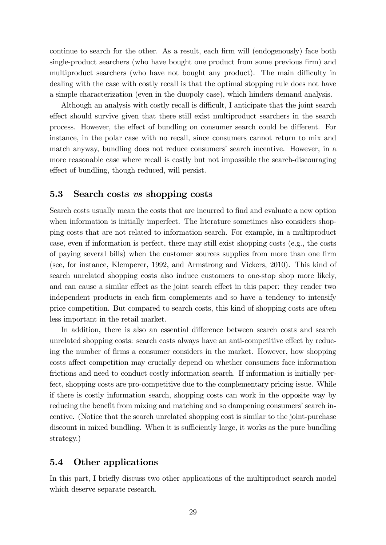continue to search for the other. As a result, each firm will (endogenously) face both single-product searchers (who have bought one product from some previous firm) and multiproduct searchers (who have not bought any product). The main difficulty in dealing with the case with costly recall is that the optimal stopping rule does not have a simple characterization (even in the duopoly case), which hinders demand analysis.

Although an analysis with costly recall is difficult, I anticipate that the joint search effect should survive given that there still exist multiproduct searchers in the search process. However, the effect of bundling on consumer search could be different. For instance, in the polar case with no recall, since consumers cannot return to mix and match anyway, bundling does not reduce consumers' search incentive. However, in a more reasonable case where recall is costly but not impossible the search-discouraging effect of bundling, though reduced, will persist.

#### 5.3 Search costs vs shopping costs

Search costs usually mean the costs that are incurred to find and evaluate a new option when information is initially imperfect. The literature sometimes also considers shopping costs that are not related to information search. For example, in a multiproduct case, even if information is perfect, there may still exist shopping costs (e.g., the costs of paying several bills) when the customer sources supplies from more than one firm (see, for instance, Klemperer, 1992, and Armstrong and Vickers, 2010). This kind of search unrelated shopping costs also induce customers to one-stop shop more likely, and can cause a similar effect as the joint search effect in this paper: they render two independent products in each firm complements and so have a tendency to intensify price competition. But compared to search costs, this kind of shopping costs are often less important in the retail market.

In addition, there is also an essential difference between search costs and search unrelated shopping costs: search costs always have an anti-competitive effect by reducing the number of Örms a consumer considers in the market. However, how shopping costs affect competition may crucially depend on whether consumers face information frictions and need to conduct costly information search. If information is initially perfect, shopping costs are pro-competitive due to the complementary pricing issue. While if there is costly information search, shopping costs can work in the opposite way by reducing the benefit from mixing and matching and so dampening consumers' search incentive. (Notice that the search unrelated shopping cost is similar to the joint-purchase discount in mixed bundling. When it is sufficiently large, it works as the pure bundling strategy.)

#### 5.4 Other applications

In this part, I briefly discuss two other applications of the multiproduct search model which deserve separate research.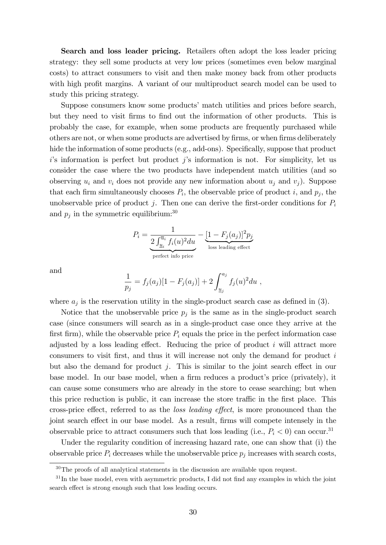Search and loss leader pricing. Retailers often adopt the loss leader pricing strategy: they sell some products at very low prices (sometimes even below marginal costs) to attract consumers to visit and then make money back from other products with high profit margins. A variant of our multiproduct search model can be used to study this pricing strategy.

Suppose consumers know some productsí match utilities and prices before search, but they need to visit firms to find out the information of other products. This is probably the case, for example, when some products are frequently purchased while others are not, or when some products are advertised by firms, or when firms deliberately hide the information of some products (e.g., add-ons). Specifically, suppose that product  $i$ 's information is perfect but product  $j$ 's information is not. For simplicity, let us consider the case where the two products have independent match utilities (and so observing  $u_i$  and  $v_i$  does not provide any new information about  $u_j$  and  $v_j$ ). Suppose that each firm simultaneously chooses  $P_i$ , the observable price of product i, and  $p_j$ , the unobservable price of product j. Then one can derive the first-order conditions for  $P_i$ and  $p_j$  in the symmetric equilibrium:<sup>30</sup>

$$
P_i = \underbrace{\frac{1}{2 \int_{\underline{u}_i}^{\overline{u}_i} f_i(u)^2 du}}_{\text{perfect info price}} - \underbrace{[1 - F_j(a_j)]^2 p_j}_{\text{loss leading effect}}
$$

and

$$
\frac{1}{p_j} = f_j(a_j)[1 - F_j(a_j)] + 2 \int_{\underline{u}_j}^{a_j} f_j(u)^2 du ,
$$

where  $a_j$  is the reservation utility in the single-product search case as defined in (3).

Notice that the unobservable price  $p_j$  is the same as in the single-product search case (since consumers will search as in a single-product case once they arrive at the first firm), while the observable price  $P_i$  equals the price in the perfect information case adjusted by a loss leading effect. Reducing the price of product  $i$  will attract more consumers to visit first, and thus it will increase not only the demand for product  $i$ but also the demand for product j. This is similar to the joint search effect in our base model. In our base model, when a firm reduces a product's price (privately), it can cause some consumers who are already in the store to cease searching; but when this price reduction is public, it can increase the store traffic in the first place. This cross-price effect, referred to as the *loss leading effect*, is more pronounced than the joint search effect in our base model. As a result, firms will compete intensely in the observable price to attract consumers such that loss leading (i.e.,  $P_i < 0$ ) can occur.<sup>31</sup>

Under the regularity condition of increasing hazard rate, one can show that (i) the observable price  $P_i$  decreases while the unobservable price  $p_j$  increases with search costs,

 $30$ The proofs of all analytical statements in the discussion are available upon request.

 $31$ In the base model, even with asymmetric products, I did not find any examples in which the joint search effect is strong enough such that loss leading occurs.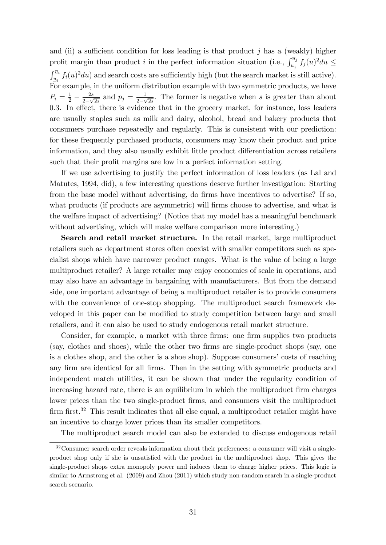and (ii) a sufficient condition for loss leading is that product  $j$  has a (weakly) higher profit margin than product *i* in the perfect information situation (i.e.,  $\int_{\underline{u}_j}^{\overline{u}_j} f_j(u)^2 du \leq$  $\int_{\underline{u}_i}^{\overline{u}_i} f_i(u)^2 du$  and search costs are sufficiently high (but the search market is still active). For example, in the uniform distribution example with two symmetric products, we have  $P_i = \frac{1}{2} - \frac{2s}{2-\sqrt{2}}$  $\frac{2s}{2-\sqrt{2s}}$  and  $p_j = \frac{1}{2-\sqrt{2s}}$  $\frac{1}{2-\sqrt{2s}}$ . The former is negative when s is greater than about 0.3. In effect, there is evidence that in the grocery market, for instance, loss leaders are usually staples such as milk and dairy, alcohol, bread and bakery products that consumers purchase repeatedly and regularly. This is consistent with our prediction: for these frequently purchased products, consumers may know their product and price information, and they also usually exhibit little product differentiation across retailers such that their profit margins are low in a perfect information setting.

If we use advertising to justify the perfect information of loss leaders (as Lal and Matutes, 1994, did), a few interesting questions deserve further investigation: Starting from the base model without advertising, do firms have incentives to advertise? If so, what products (if products are asymmetric) will firms choose to advertise, and what is the welfare impact of advertising? (Notice that my model has a meaningful benchmark without advertising, which will make welfare comparison more interesting.)

Search and retail market structure. In the retail market, large multiproduct retailers such as department stores often coexist with smaller competitors such as specialist shops which have narrower product ranges. What is the value of being a large multiproduct retailer? A large retailer may enjoy economies of scale in operations, and may also have an advantage in bargaining with manufacturers. But from the demand side, one important advantage of being a multiproduct retailer is to provide consumers with the convenience of one-stop shopping. The multiproduct search framework developed in this paper can be modified to study competition between large and small retailers, and it can also be used to study endogenous retail market structure.

Consider, for example, a market with three firms: one firm supplies two products (say, clothes and shoes), while the other two firms are single-product shops (say, one is a clothes shop, and the other is a shoe shop). Suppose consumers' costs of reaching any firm are identical for all firms. Then in the setting with symmetric products and independent match utilities, it can be shown that under the regularity condition of increasing hazard rate, there is an equilibrium in which the multiproduct firm charges lower prices than the two single-product firms, and consumers visit the multiproduct firm first. $32$  This result indicates that all else equal, a multiproduct retailer might have an incentive to charge lower prices than its smaller competitors.

The multiproduct search model can also be extended to discuss endogenous retail

<sup>&</sup>lt;sup>32</sup>Consumer search order reveals information about their preferences: a consumer will visit a singleproduct shop only if she is unsatisfied with the product in the multiproduct shop. This gives the single-product shops extra monopoly power and induces them to charge higher prices. This logic is similar to Armstrong et al. (2009) and Zhou (2011) which study non-random search in a single-product search scenario.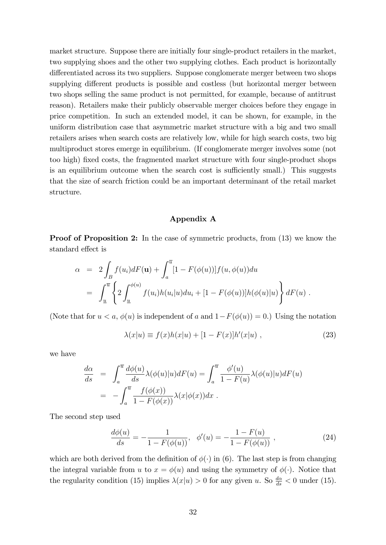market structure. Suppose there are initially four single-product retailers in the market, two supplying shoes and the other two supplying clothes. Each product is horizontally differentiated across its two suppliers. Suppose conglomerate merger between two shops supplying different products is possible and costless (but horizontal merger between two shops selling the same product is not permitted, for example, because of antitrust reason). Retailers make their publicly observable merger choices before they engage in price competition. In such an extended model, it can be shown, for example, in the uniform distribution case that asymmetric market structure with a big and two small retailers arises when search costs are relatively low, while for high search costs, two big multiproduct stores emerge in equilibrium. (If conglomerate merger involves some (not too high) fixed costs, the fragmented market structure with four single-product shops is an equilibrium outcome when the search cost is sufficiently small.) This suggests that the size of search friction could be an important determinant of the retail market structure.

#### Appendix A

**Proof of Proposition 2:** In the case of symmetric products, from (13) we know the standard effect is

$$
\alpha = 2 \int_B f(u_i) dF(\mathbf{u}) + \int_a^{\overline{u}} [1 - F(\phi(u))] f(u, \phi(u)) du
$$
  
= 
$$
\int_{\underline{u}}^{\overline{u}} \left\{ 2 \int_{\underline{u}}^{\phi(u)} f(u_i) h(u_i|u) du_i + [1 - F(\phi(u))] h(\phi(u)|u) \right\} dF(u) .
$$

(Note that for  $u < a$ ,  $\phi(u)$  is independent of a and  $1-F(\phi(u)) = 0$ .) Using the notation

$$
\lambda(x|u) \equiv f(x)h(x|u) + [1 - F(x)]h'(x|u) , \qquad (23)
$$

we have

$$
\frac{d\alpha}{ds} = \int_a^{\overline{u}} \frac{d\phi(u)}{ds} \lambda(\phi(u)|u) dF(u) = \int_a^{\overline{u}} \frac{\phi'(u)}{1 - F(u)} \lambda(\phi(u)|u) dF(u)
$$

$$
= -\int_a^{\overline{u}} \frac{f(\phi(x))}{1 - F(\phi(x))} \lambda(x|\phi(x)) dx.
$$

The second step used

$$
\frac{d\phi(u)}{ds} = -\frac{1}{1 - F(\phi(u))}, \quad \phi'(u) = -\frac{1 - F(u)}{1 - F(\phi(u))},\tag{24}
$$

which are both derived from the definition of  $\phi(\cdot)$  in (6). The last step is from changing the integral variable from u to  $x = \phi(u)$  and using the symmetry of  $\phi(\cdot)$ . Notice that the regularity condition (15) implies  $\lambda(x|u) > 0$  for any given u. So  $\frac{d\alpha}{ds} < 0$  under (15).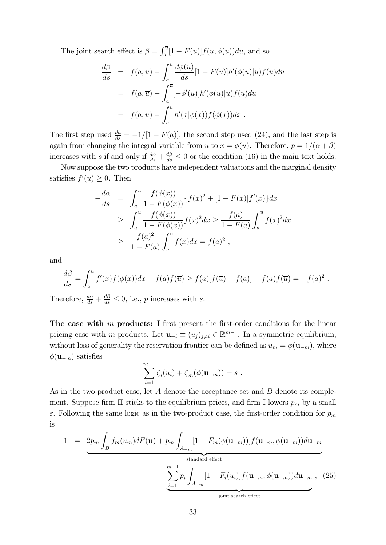The joint search effect is  $\beta = \int_a^{\overline{u}} [1 - F(u)] f(u, \phi(u)) du$ , and so

$$
\frac{d\beta}{ds} = f(a,\overline{u}) - \int_a^{\overline{u}} \frac{d\phi(u)}{ds} [1 - F(u)] h'(\phi(u)|u) f(u) du
$$
  

$$
= f(a,\overline{u}) - \int_a^{\overline{u}} [-\phi'(u)] h'(\phi(u)|u) f(u) du
$$
  

$$
= f(a,\overline{u}) - \int_a^{\overline{u}} h'(x|\phi(x)) f(\phi(x)) dx .
$$

The first step used  $\frac{da}{ds} = -1/[1 - F(a)]$ , the second step used (24), and the last step is again from changing the integral variable from u to  $x = \phi(u)$ . Therefore,  $p = 1/(\alpha + \beta)$ increases with s if and only if  $\frac{d\alpha}{ds} + \frac{d\beta}{ds} \leq 0$  or the condition (16) in the main text holds.

Now suppose the two products have independent valuations and the marginal density satisfies  $f'(u) \geq 0$ . Then

$$
-\frac{d\alpha}{ds} = \int_{a}^{\overline{u}} \frac{f(\phi(x))}{1 - F(\phi(x))} \{f(x)^{2} + [1 - F(x)]f'(x)\} dx
$$
  
\n
$$
\geq \int_{a}^{\overline{u}} \frac{f(\phi(x))}{1 - F(\phi(x))} f(x)^{2} dx \geq \frac{f(a)}{1 - F(a)} \int_{a}^{\overline{u}} f(x)^{2} dx
$$
  
\n
$$
\geq \frac{f(a)^{2}}{1 - F(a)} \int_{a}^{\overline{u}} f(x) dx = f(a)^{2},
$$

and

$$
-\frac{d\beta}{ds} = \int_a^{\overline{u}} f'(x) f(\phi(x)) dx - f(a) f(\overline{u}) \ge f(a) [f(\overline{u}) - f(a)] - f(a) f(\overline{u}) = -f(a)^2.
$$

Therefore,  $\frac{d\alpha}{ds} + \frac{d\beta}{ds} \leq 0$ , i.e., p increases with s.

The case with  $m$  products: I first present the first-order conditions for the linear pricing case with m products. Let  $\mathbf{u}_{-i} \equiv (u_j)_{j \neq i} \in \mathbb{R}^{m-1}$ . In a symmetric equilibrium, without loss of generality the reservation frontier can be defined as  $u_m = \phi(\mathbf{u}_{-m})$ , where  $\phi(\mathbf{u}_{-m})$  satisfies

$$
\sum_{i=1}^{m-1} \zeta_i(u_i) + \zeta_m(\phi(\mathbf{u}_{-m})) = s .
$$

As in the two-product case, let  $A$  denote the acceptance set and  $B$  denote its complement. Suppose firm II sticks to the equilibrium prices, and firm I lowers  $p_m$  by a small  $\varepsilon$ . Following the same logic as in the two-product case, the first-order condition for  $p_m$ is

$$
1 = 2p_m \int_B f_m(u_m) dF(\mathbf{u}) + p_m \int_{A_{-m}} [1 - F_m(\phi(\mathbf{u}_{-m}))] f(\mathbf{u}_{-m}, \phi(\mathbf{u}_{-m})) d\mathbf{u}_{-m}
$$
  
\nstandard effect  
\n
$$
+ \sum_{i=1}^{m-1} p_i \int_{A_{-m}} [1 - F_i(u_i)] f(\mathbf{u}_{-m}, \phi(\mathbf{u}_{-m})) d\mathbf{u}_{-m}, \quad (25)
$$
  
\njoint search effect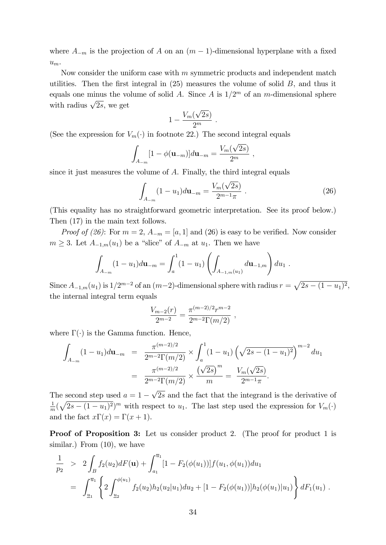where  $A_{-m}$  is the projection of A on an  $(m-1)$ -dimensional hyperplane with a fixed  $u_m$ .

Now consider the uniform case with  $m$  symmetric products and independent match utilities. Then the first integral in  $(25)$  measures the volume of solid B, and thus it equals one minus the volume of solid A. Since A is  $1/2^m$  of an m-dimensional sphere with radius  $\sqrt{2s}$ , we get

$$
1-\frac{V_m(\sqrt{2s})}{2^m}.
$$

(See the expression for  $V_m(\cdot)$  in footnote 22.) The second integral equals

$$
\int_{A_{-m}} [1 - \phi(\mathbf{u}_{-m})] d\mathbf{u}_{-m} = \frac{V_m(\sqrt{2s})}{2^m} ,
$$

since it just measures the volume of A. Finally, the third integral equals

$$
\int_{A_{-m}} (1 - u_1) d\mathbf{u}_{-m} = \frac{V_m(\sqrt{2s})}{2^{m-1}\pi} .
$$
\n(26)

(This equality has no straightforward geometric interpretation. See its proof below.) Then (17) in the main text follows.

*Proof of (26)*: For  $m = 2$ ,  $A_{-m} = [a, 1]$  and (26) is easy to be verified. Now consider  $m \geq 3$ . Let  $A_{-1,m}(u_1)$  be a "slice" of  $A_{-m}$  at  $u_1$ . Then we have

$$
\int_{A_{-m}} (1 - u_1) d\mathbf{u}_{-m} = \int_a^1 (1 - u_1) \left( \int_{A_{-1,m}(u_1)} d\mathbf{u}_{-1,m} \right) du_1.
$$

Since  $A_{-1,m}(u_1)$  is  $1/2^{m-2}$  of an  $(m-2)$ -dimensional sphere with radius  $r = \sqrt{2s - (1 - u_1)^2}$ , the internal integral term equals

$$
\frac{V_{m-2}(r)}{2^{m-2}} = \frac{\pi^{(m-2)/2}r^{m-2}}{2^{m-2}\Gamma(m/2)},
$$

where  $\Gamma(\cdot)$  is the Gamma function. Hence,

$$
\int_{A_{-m}} (1 - u_1) d\mathbf{u}_{-m} = \frac{\pi^{(m-2)/2}}{2^{m-2} \Gamma(m/2)} \times \int_a^1 (1 - u_1) \left(\sqrt{2s - (1 - u_1)^2}\right)^{m-2} du_1
$$

$$
= \frac{\pi^{(m-2)/2}}{2^{m-2} \Gamma(m/2)} \times \frac{\left(\sqrt{2s}\right)^m}{m} = \frac{V_m(\sqrt{2s})}{2^{m-1}\pi}.
$$

The second step used  $a = 1 - \sqrt{2s}$  and the fact that the integrand is the derivative of 1  $\frac{1}{m}(\sqrt{2s-(1-u_1)^2})^m$  with respect to  $u_1$ . The last step used the expression for  $V_m(\cdot)$ and the fact  $x\Gamma(x) = \Gamma(x + 1)$ .

**Proof of Proposition 3:** Let us consider product 2. (The proof for product 1 is similar.) From  $(10)$ , we have

$$
\frac{1}{p_2} > 2 \int_B f_2(u_2) dF(\mathbf{u}) + \int_{a_1}^{\overline{u}_1} [1 - F_2(\phi(u_1))] f(u_1, \phi(u_1)) du_1
$$
\n
$$
= \int_{\underline{u}_1}^{\overline{u}_1} \left\{ 2 \int_{\underline{u}_2}^{\phi(u_1)} f_2(u_2) h_2(u_2|u_1) du_2 + [1 - F_2(\phi(u_1))] h_2(\phi(u_1)|u_1) \right\} dF_1(u_1) .
$$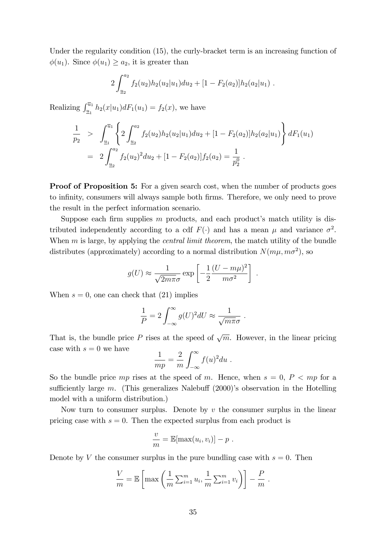Under the regularity condition (15), the curly-bracket term is an increasing function of  $\phi(u_1)$ . Since  $\phi(u_1) \geq a_2$ , it is greater than

$$
2\int_{\underline{u}_2}^{a_2} f_2(u_2)h_2(u_2|u_1)du_2 + [1 - F_2(a_2)]h_2(a_2|u_1).
$$

Realizing  $\int_{u_1}^{\overline{u}_1} h_2(x|u_1) dF_1(u_1) = f_2(x)$ , we have

$$
\frac{1}{p_2} > \int_{\underline{u}_1}^{\overline{u}_1} \left\{ 2 \int_{\underline{u}_2}^{a_2} f_2(u_2) h_2(u_2|u_1) du_2 + [1 - F_2(a_2)] h_2(a_2|u_1) \right\} dF_1(u_1)
$$
\n
$$
= 2 \int_{\underline{u}_2}^{a_2} f_2(u_2)^2 du_2 + [1 - F_2(a_2)] f_2(a_2) = \frac{1}{p_2^0}.
$$

**Proof of Proposition 5:** For a given search cost, when the number of products goes to infinity, consumers will always sample both firms. Therefore, we only need to prove the result in the perfect information scenario.

Suppose each firm supplies  $m$  products, and each product's match utility is distributed independently according to a cdf  $F(\cdot)$  and has a mean  $\mu$  and variance  $\sigma^2$ . When m is large, by applying the *central limit theorem*, the match utility of the bundle distributes (approximately) according to a normal distribution  $N(m\mu, m\sigma^2)$ , so

$$
g(U) \approx \frac{1}{\sqrt{2m\pi}\sigma} \exp\left[-\frac{1}{2}\frac{(U-m\mu)^2}{m\sigma^2}\right] .
$$

When  $s = 0$ , one can check that (21) implies

$$
\frac{1}{P} = 2 \int_{-\infty}^{\infty} g(U)^2 dU \approx \frac{1}{\sqrt{m\pi}\sigma} .
$$

That is, the bundle price P rises at the speed of  $\sqrt{m}$ . However, in the linear pricing case with  $s = 0$  we have

$$
\frac{1}{mp} = \frac{2}{m} \int_{-\infty}^{\infty} f(u)^2 du.
$$

So the bundle price mp rises at the speed of m. Hence, when  $s = 0, P < mp$  for a sufficiently large m. (This generalizes Nalebuff  $(2000)$ 's observation in the Hotelling model with a uniform distribution.)

Now turn to consumer surplus. Denote by  $v$  the consumer surplus in the linear pricing case with  $s = 0$ . Then the expected surplus from each product is

$$
\frac{v}{m} = \mathbb{E}[\max(u_i, v_i)] - p.
$$

Denote by V the consumer surplus in the pure bundling case with  $s = 0$ . Then

$$
\frac{V}{m} = \mathbb{E}\left[\max\left(\frac{1}{m}\sum_{i=1}^m u_i, \frac{1}{m}\sum_{i=1}^m v_i\right)\right] - \frac{P}{m}.
$$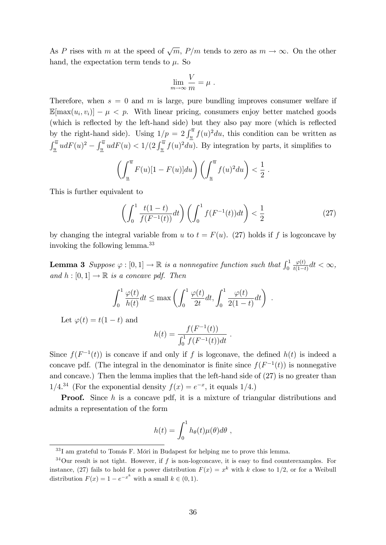As P rises with m at the speed of  $\sqrt{m}$ ,  $P/m$  tends to zero as  $m \to \infty$ . On the other hand, the expectation term tends to  $\mu$ . So

$$
\lim_{m \to \infty} \frac{V}{m} = \mu.
$$

Therefore, when  $s = 0$  and m is large, pure bundling improves consumer welfare if  $\mathbb{E}[\max(u_i, v_i)] - \mu < p$ . With linear pricing, consumers enjoy better matched goods (which is reflected by the left-hand side) but they also pay more (which is reflected by the right-hand side). Using  $1/p = 2 \int_{\frac{u}{2}}^{\overline{u}} f(u)^2 du$ , this condition can be written as  $\int_{\underline{u}}^{\overline{u}} udF(u)^2 - \int_{\underline{u}}^{\overline{u}} udF(u) < 1/(2 \int_{\underline{u}}^{\overline{u}} f(u)^2 du)$ . By integration by parts, it simplifies to

$$
\left(\int_{\underline{u}}^{\overline{u}} F(u)[1 - F(u)] du\right) \left(\int_{\underline{u}}^{\overline{u}} f(u)^2 du\right) < \frac{1}{2}
$$

This is further equivalent to

$$
\left(\int_0^1 \frac{t(1-t)}{f(F^{-1}(t))} dt\right) \left(\int_0^1 f(F^{-1}(t)) dt\right) < \frac{1}{2}
$$
\n(27)

:

:

by changing the integral variable from u to  $t = F(u)$ . (27) holds if f is logconcave by invoking the following lemma.<sup>33</sup>

**Lemma 3** Suppose  $\varphi : [0,1] \to \mathbb{R}$  is a nonnegative function such that  $\int_0^1$  $\varphi(t)$  $\frac{\varphi(t)}{t(1-t)}dt < \infty,$ and  $h : [0, 1] \rightarrow \mathbb{R}$  is a concave pdf. Then

$$
\int_0^1 \frac{\varphi(t)}{h(t)} dt \le \max\left(\int_0^1 \frac{\varphi(t)}{2t} dt, \int_0^1 \frac{\varphi(t)}{2(1-t)} dt\right)
$$

Let  $\varphi(t) = t(1-t)$  and

$$
h(t) = \frac{f(F^{-1}(t))}{\int_0^1 f(F^{-1}(t))dt}.
$$

Since  $f(F^{-1}(t))$  is concave if and only if f is logconave, the defined  $h(t)$  is indeed a concave pdf. (The integral in the denominator is finite since  $f(F^{-1}(t))$  is nonnegative and concave.) Then the lemma implies that the left-hand side of (27) is no greater than  $1/4^{34}$  (For the exponential density  $f(x) = e^{-x}$ , it equals  $1/4$ .)

**Proof.** Since h is a concave pdf, it is a mixture of triangular distributions and admits a representation of the form

$$
h(t) = \int_0^1 h_{\theta}(t) \mu(\theta) d\theta,
$$

 $33$ I am grateful to Tomás F. Móri in Budapest for helping me to prove this lemma.

 $34$ Our result is not tight. However, if f is non-logconcave, it is easy to find counterexamples. For instance, (27) fails to hold for a power distribution  $F(x) = x^k$  with k close to 1/2, or for a Weibull distribution  $F(x) = 1 - e^{-x^k}$  with a small  $k \in (0, 1)$ .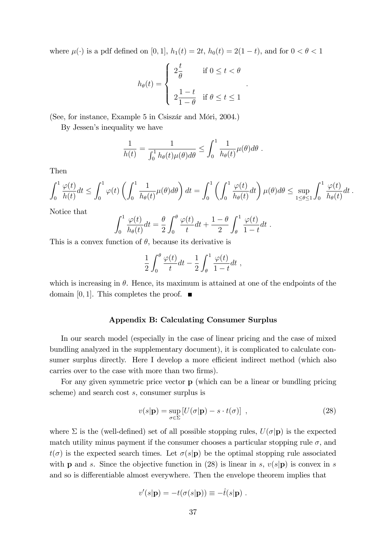where  $\mu(\cdot)$  is a pdf defined on [0, 1],  $h_1(t) = 2t$ ,  $h_0(t) = 2(1-t)$ , and for  $0 < \theta < 1$ 

$$
h_{\theta}(t) = \begin{cases} 2\frac{t}{\theta} & \text{if } 0 \leq t < \theta \\ 2\frac{1-t}{1-\theta} & \text{if } \theta \leq t \leq 1 \end{cases}
$$

:

(See, for instance, Example 5 in Csiszár and Móri, 2004.)

By Jessen's inequality we have

$$
\frac{1}{h(t)} = \frac{1}{\int_0^1 h_\theta(t)\mu(\theta)d\theta} \leq \int_0^1 \frac{1}{h_\theta(t)}\mu(\theta)d\theta.
$$

Then

$$
\int_0^1 \frac{\varphi(t)}{h(t)} dt \le \int_0^1 \varphi(t) \left( \int_0^1 \frac{1}{h_\theta(t)} \mu(\theta) d\theta \right) dt = \int_0^1 \left( \int_0^1 \frac{\varphi(t)}{h_\theta(t)} dt \right) \mu(\theta) d\theta \le \sup_{1 \le \theta \le 1} \int_0^1 \frac{\varphi(t)}{h_\theta(t)} dt.
$$

Notice that

$$
\int_0^1 \frac{\varphi(t)}{h_\theta(t)} dt = \frac{\theta}{2} \int_0^\theta \frac{\varphi(t)}{t} dt + \frac{1-\theta}{2} \int_\theta^1 \frac{\varphi(t)}{1-t} dt.
$$

This is a convex function of  $\theta$ , because its derivative is

$$
\frac{1}{2} \int_0^{\theta} \frac{\varphi(t)}{t} dt - \frac{1}{2} \int_{\theta}^1 \frac{\varphi(t)}{1-t} dt ,
$$

which is increasing in  $\theta$ . Hence, its maximum is attained at one of the endpoints of the domain [0, 1]. This completes the proof.  $\blacksquare$ 

#### Appendix B: Calculating Consumer Surplus

In our search model (especially in the case of linear pricing and the case of mixed bundling analyzed in the supplementary document), it is complicated to calculate consumer surplus directly. Here I develop a more efficient indirect method (which also carries over to the case with more than two firms).

For any given symmetric price vector p (which can be a linear or bundling pricing scheme) and search cost s, consumer surplus is

$$
v(s|\mathbf{p}) = \sup_{\sigma \in \Sigma} \left[ U(\sigma|\mathbf{p}) - s \cdot t(\sigma) \right] , \qquad (28)
$$

where  $\Sigma$  is the (well-defined) set of all possible stopping rules,  $U(\sigma|\mathbf{p})$  is the expected match utility minus payment if the consumer chooses a particular stopping rule  $\sigma$ , and  $t(\sigma)$  is the expected search times. Let  $\sigma(s|\mathbf{p})$  be the optimal stopping rule associated with **p** and s. Since the objective function in (28) is linear in s,  $v(s|\mathbf{p})$  is convex in s and so is differentiable almost everywhere. Then the envelope theorem implies that

$$
v'(s|\mathbf{p}) = -t(\sigma(s|\mathbf{p})) \equiv -\hat{t}(s|\mathbf{p}) \ .
$$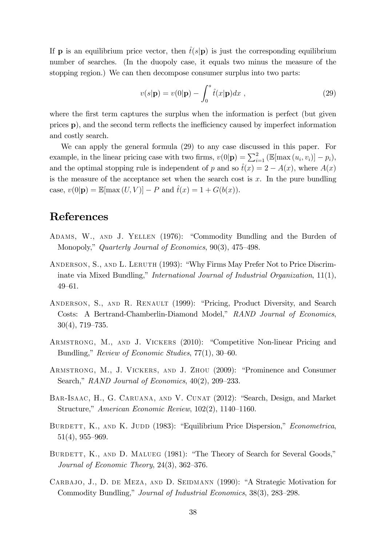If **p** is an equilibrium price vector, then  $\hat{t}(s|\mathbf{p})$  is just the corresponding equilibrium number of searches. (In the duopoly case, it equals two minus the measure of the stopping region.) We can then decompose consumer surplus into two parts:

$$
v(s|\mathbf{p}) = v(0|\mathbf{p}) - \int_0^s \hat{t}(x|\mathbf{p})dx , \qquad (29)
$$

where the first term captures the surplus when the information is perfect (but given prices  $\bf{p}$ ), and the second term reflects the inefficiency caused by imperfect information and costly search.

We can apply the general formula (29) to any case discussed in this paper. For example, in the linear pricing case with two firms,  $v(0|\mathbf{p}) = \sum_{i=1}^{2} (\mathbb{E}[\max(u_i, v_i)] - p_i)$ , and the optimal stopping rule is independent of p and so  $\hat{t}(x) = 2 - A(x)$ , where  $A(x)$ is the measure of the acceptance set when the search cost is  $x$ . In the pure bundling case,  $v(0|\mathbf{p}) = \mathbb{E}[\max(U, V)] - P$  and  $\hat{t}(x) = 1 + G(b(x)).$ 

### References

- ADAMS, W., AND J. YELLEN (1976): "Commodity Bundling and the Burden of Monopoly," Quarterly Journal of Economics,  $90(3)$ , 475–498.
- ANDERSON, S., AND L. LERUTH (1993): "Why Firms May Prefer Not to Price Discriminate via Mixed Bundling," International Journal of Industrial Organization,  $11(1)$ , 49-61.
- ANDERSON, S., AND R. RENAULT (1999): "Pricing, Product Diversity, and Search Costs: A Bertrand-Chamberlin-Diamond Model," RAND Journal of Economics,  $30(4)$ , 719–735.
- ARMSTRONG, M., AND J. VICKERS (2010): "Competitive Non-linear Pricing and Bundling," Review of Economic Studies,  $77(1)$ ,  $30-60$ .
- ARMSTRONG, M., J. VICKERS, AND J. ZHOU (2009): "Prominence and Consumer Search," RAND Journal of Economics,  $40(2)$ ,  $209-233$ .
- BAR-ISAAC, H., G. CARUANA, AND V. CUNAT (2012): "Search, Design, and Market Structure," American Economic Review,  $102(2)$ ,  $1140-1160$ .
- BURDETT, K., AND K. JUDD (1983): "Equilibrium Price Dispersion," Econometrica,  $51(4)$ , 955–969.
- BURDETT, K., AND D. MALUEG (1981): "The Theory of Search for Several Goods," Journal of Economic Theory,  $24(3)$ ,  $362-376$ .
- CARBAJO, J., D. DE MEZA, AND D. SEIDMANN (1990): "A Strategic Motivation for Commodity Bundling," Journal of Industrial Economics, 38(3), 283–298.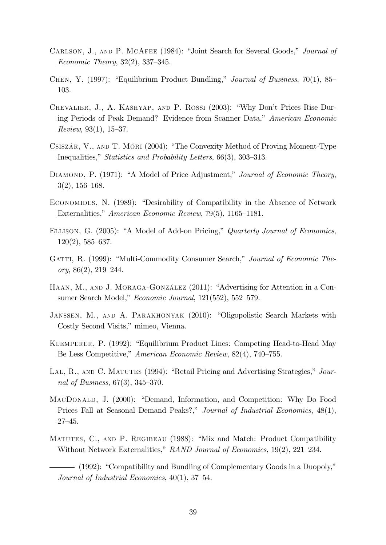- CARLSON, J., AND P. MCAFEE (1984): "Joint Search for Several Goods," Journal of Economic Theory,  $32(2)$ ,  $337-345$ .
- CHEN, Y. (1997): "Equilibrium Product Bundling," Journal of Business, 70(1), 85 103.
- CHEVALIER, J., A. KASHYAP, AND P. ROSSI (2003): "Why Don't Prices Rise During Periods of Peak Demand? Evidence from Scanner Data," American Economic Review,  $93(1)$ ,  $15-37$ .
- CSISZÁR, V., AND T. MÓRI (2004): "The Convexity Method of Proving Moment-Type Inequalities," Statistics and Probability Letters,  $66(3)$ ,  $303-313$ .
- DIAMOND, P. (1971): "A Model of Price Adjustment," Journal of Economic Theory,  $3(2)$ , 156–168.
- ECONOMIDES, N. (1989): "Desirability of Compatibility in the Absence of Network Externalities," American Economic Review, 79(5), 1165–1181.
- ELLISON, G. (2005): "A Model of Add-on Pricing," Quarterly Journal of Economics,  $120(2)$ , 585–637.
- GATTI, R. (1999): "Multi-Commodity Consumer Search," Journal of Economic Theory,  $86(2)$ ,  $219-244$ .
- HAAN, M., AND J. MORAGA-GONZÁLEZ (2011): "Advertising for Attention in a Consumer Search Model," Economic Journal,  $121(552)$ ,  $552-579$ .
- JANSSEN, M., AND A. PARAKHONYAK (2010): "Oligopolistic Search Markets with Costly Second Visits," mimeo, Vienna.
- KLEMPERER, P. (1992): "Equilibrium Product Lines: Competing Head-to-Head May Be Less Competitive," American Economic Review, 82(4), 740–755.
- LAL, R., AND C. MATUTES (1994): "Retail Pricing and Advertising Strategies,"  $Jour$ nal of Business,  $67(3)$ ,  $345-370$ .
- MACDONALD, J. (2000): "Demand, Information, and Competition: Why Do Food Prices Fall at Seasonal Demand Peaks?," Journal of Industrial Economics, 48(1),  $27 - 45.$
- MATUTES, C., AND P. REGIBEAU (1988): "Mix and Match: Product Compatibility Without Network Externalities," RAND Journal of Economics, 19(2), 221-234.

 $-$  (1992): "Compatibility and Bundling of Complementary Goods in a Duopoly," Journal of Industrial Economics,  $40(1)$ ,  $37-54$ .